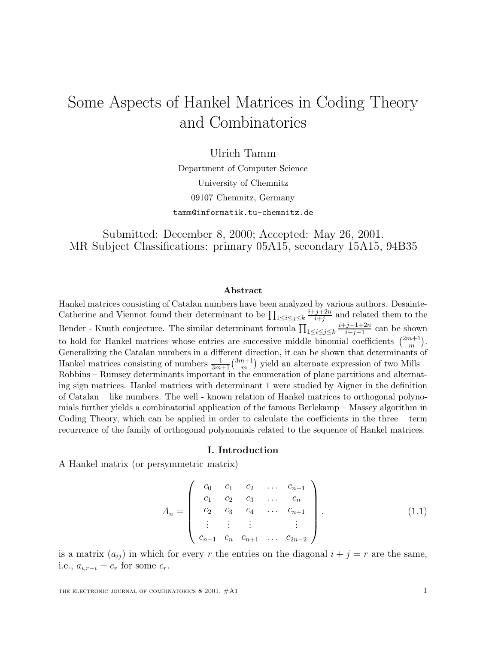# Some Aspects of Hankel Matrices in Coding Theory and Combinatorics

Ulrich Tamm

Department of Computer Science University of Chemnitz 09107 Chemnitz, Germany tamm@informatik.tu-chemnitz.de

Submitted: December 8, 2000; Accepted: May 26, 2001. MR Subject Classifications: primary 05A15, secondary 15A15, 94B35

#### **Abstract**

Hankel matrices consisting of Catalan numbers have been analyzed by various authors. Desainte-Catherine and Viennot found their determinant to be  $\prod_{1 \leq i \leq j \leq k}$  $\frac{i+j+2n}{i+j}$  and related them to the Bender - Knuth conjecture. The similar determinant formula  $\prod_{1 \leq i \leq j \leq k}$  $\frac{i+j-1+2n}{i+j-1}$  can be shown to hold for Hankel matrices whose entries are successive middle binomial coefficients  $\binom{2m+1}{m}$ . Generalizing the Catalan numbers in a different direction, it can be shown that determinants of Hankel matrices consisting of numbers  $\frac{1}{3m+1} {3m+1 \choose m}$  yield an alternate expression of two Mills – Robbins – Rumsey determinants important in the enumeration of plane partitions and alternating sign matrices. Hankel matrices with determinant 1 were studied by Aigner in the definition of Catalan – like numbers. The well - known relation of Hankel matrices to orthogonal polynomials further yields a combinatorial application of the famous Berlekamp – Massey algorithm in Coding Theory, which can be applied in order to calculate the coefficients in the three – term recurrence of the family of orthogonal polynomials related to the sequence of Hankel matrices.

#### **I. Introduction**

A Hankel matrix (or persymmetric matrix)

$$
A_n = \begin{pmatrix} c_0 & c_1 & c_2 & \dots & c_{n-1} \\ c_1 & c_2 & c_3 & \dots & c_n \\ c_2 & c_3 & c_4 & \dots & c_{n+1} \\ \vdots & \vdots & \vdots & & \vdots \\ c_{n-1} & c_n & c_{n+1} & \dots & c_{2n-2} \end{pmatrix} .
$$
 (1.1)

is a matrix  $(a_{ij})$  in which for every r the entries on the diagonal  $i + j = r$  are the same, i.e.,  $a_{i,r-i} = c_r$  for some  $c_r$ .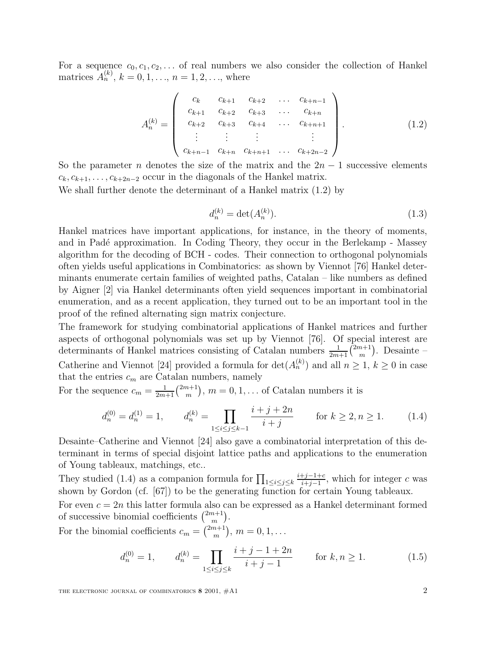For a sequence  $c_0, c_1, c_2, \ldots$  of real numbers we also consider the collection of Hankel matrices  $A_n^{(k)}$ ,  $k = 0, 1, \ldots, n = 1, 2, \ldots$ , where

$$
A_n^{(k)} = \begin{pmatrix} c_k & c_{k+1} & c_{k+2} & \dots & c_{k+n-1} \\ c_{k+1} & c_{k+2} & c_{k+3} & \dots & c_{k+n} \\ c_{k+2} & c_{k+3} & c_{k+4} & \dots & c_{k+n+1} \\ \vdots & \vdots & \vdots & \vdots & \vdots \\ c_{k+n-1} & c_{k+n} & c_{k+n+1} & \dots & c_{k+2n-2} \end{pmatrix} . \tag{1.2}
$$

So the parameter n denotes the size of the matrix and the  $2n - 1$  successive elements  $c_k, c_{k+1}, \ldots, c_{k+2n-2}$  occur in the diagonals of the Hankel matrix.

We shall further denote the determinant of a Hankel matrix (1.2) by

$$
d_n^{(k)} = \det(A_n^{(k)}).
$$
\n(1.3)

Hankel matrices have important applications, for instance, in the theory of moments, and in Padé approximation. In Coding Theory, they occur in the Berlekamp - Massey algorithm for the decoding of BCH - codes. Their connection to orthogonal polynomials often yields useful applications in Combinatorics: as shown by Viennot [76] Hankel determinants enumerate certain families of weighted paths, Catalan – like numbers as defined by Aigner [2] via Hankel determinants often yield sequences important in combinatorial enumeration, and as a recent application, they turned out to be an important tool in the proof of the refined alternating sign matrix conjecture.

The framework for studying combinatorial applications of Hankel matrices and further aspects of orthogonal polynomials was set up by Viennot [76]. Of special interest are determinants of Hankel matrices consisting of Catalan numbers  $\frac{1}{2m+1}$  $\binom{2m+1}{m}$ . Desainte – Catherine and Viennot [24] provided a formula for  $\det(A_n^{(k)})$  and all  $n \geq 1, k \geq 0$  in case that the entries  $c_m$  are Catalan numbers, namely

For the sequence  $c_m = \frac{1}{2m+1} {2m+1 \choose m}$ ,  $m = 0, 1, \dots$  of Catalan numbers it is

$$
d_n^{(0)} = d_n^{(1)} = 1, \qquad d_n^{(k)} = \prod_{1 \le i \le j \le k-1} \frac{i+j+2n}{i+j} \qquad \text{for } k \ge 2, n \ge 1. \tag{1.4}
$$

Desainte–Catherine and Viennot [24] also gave a combinatorial interpretation of this determinant in terms of special disjoint lattice paths and applications to the enumeration of Young tableaux, matchings, etc..

They studied (1.4) as a companion formula for  $\prod_{1 \leq i \leq j \leq k}$  $\frac{i+j-1+c}{i+j-1}$ , which for integer c was shown by Gordon (cf. [67]) to be the generating function for certain Young tableaux.

For even  $c = 2n$  this latter formula also can be expressed as a Hankel determinant formed of successive binomial coefficients  $\binom{2m+1}{m}$ .

For the binomial coefficients  $c_m = \binom{2m+1}{m}$ ,  $m = 0, 1, \ldots$ 

$$
d_n^{(0)} = 1, \qquad d_n^{(k)} = \prod_{1 \le i \le j \le k} \frac{i+j-1+2n}{i+j-1} \qquad \text{for } k, n \ge 1. \tag{1.5}
$$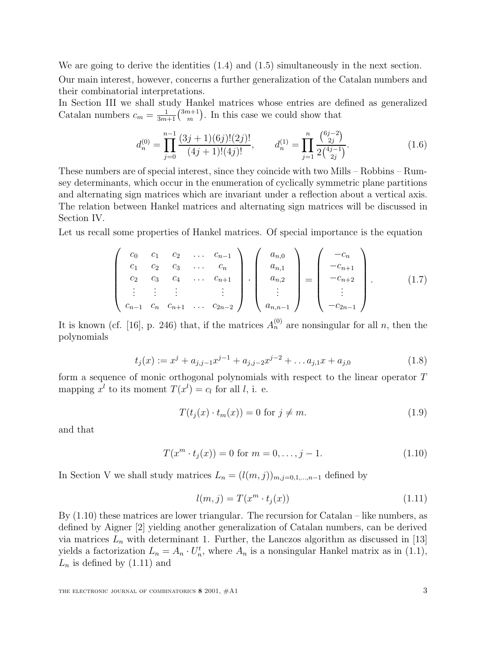We are going to derive the identities  $(1.4)$  and  $(1.5)$  simultaneously in the next section. Our main interest, however, concerns a further generalization of the Catalan numbers and their combinatorial interpretations.

In Section III we shall study Hankel matrices whose entries are defined as generalized Catalan numbers  $c_m = \frac{1}{3m+1} {3m+1 \choose m}$ . In this case we could show that

$$
d_n^{(0)} = \prod_{j=0}^{n-1} \frac{(3j+1)(6j)!(2j)!}{(4j+1)!(4j)!}, \qquad d_n^{(1)} = \prod_{j=1}^n \frac{\binom{6j-2}{2j}}{2\binom{4j-1}{2j}}.
$$
\n(1.6)

These numbers are of special interest, since they coincide with two Mills – Robbins – Rumsey determinants, which occur in the enumeration of cyclically symmetric plane partitions and alternating sign matrices which are invariant under a reflection about a vertical axis. The relation between Hankel matrices and alternating sign matrices will be discussed in Section IV.

Let us recall some properties of Hankel matrices. Of special importance is the equation

$$
\begin{pmatrix} c_0 & c_1 & c_2 & \dots & c_{n-1} \\ c_1 & c_2 & c_3 & \dots & c_n \\ c_2 & c_3 & c_4 & \dots & c_{n+1} \\ \vdots & \vdots & \vdots & & \vdots \\ c_{n-1} & c_n & c_{n+1} & \dots & c_{2n-2} \end{pmatrix} \cdot \begin{pmatrix} a_{n,0} \\ a_{n,1} \\ a_{n,2} \\ \vdots \\ a_{n,n-1} \end{pmatrix} = \begin{pmatrix} -c_n \\ -c_{n+1} \\ -c_{n+2} \\ \vdots \\ -c_{2n-1} \end{pmatrix} . \qquad (1.7)
$$

It is known (cf. [16], p. 246) that, if the matrices  $A_n^{(0)}$  are nonsingular for all n, then the polynomials

$$
t_j(x) := x^j + a_{j,j-1}x^{j-1} + a_{j,j-2}x^{j-2} + \dots + a_{j,1}x + a_{j,0}
$$
\n(1.8)

form a sequence of monic orthogonal polynomials with respect to the linear operator T mapping  $x^l$  to its moment  $T(x^l) = c_l$  for all l, i. e.

$$
T(t_j(x) \cdot t_m(x)) = 0 \text{ for } j \neq m. \tag{1.9}
$$

and that

$$
T(x^m \cdot t_j(x)) = 0 \text{ for } m = 0, \dots, j - 1.
$$
 (1.10)

In Section V we shall study matrices  $L_n = (l(m, j))_{m,j=0,1,\dots,n-1}$  defined by

$$
l(m,j) = T(x^m \cdot t_j(x)) \tag{1.11}
$$

By  $(1.10)$  these matrices are lower triangular. The recursion for Catalan – like numbers, as defined by Aigner [2] yielding another generalization of Catalan numbers, can be derived via matrices  $L_n$  with determinant 1. Further, the Lanczos algorithm as discussed in [13] yields a factorization  $L_n = A_n \cdot U_n^t$ , where  $A_n$  is a nonsingular Hankel matrix as in (1.1),  $L_n$  is defined by  $(1.11)$  and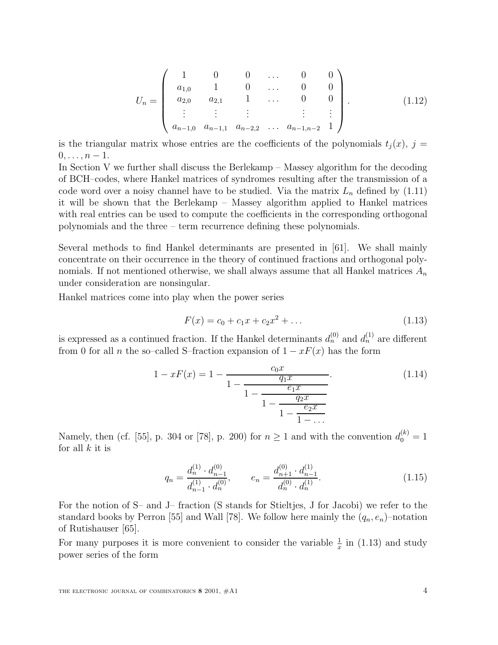$$
U_n = \begin{pmatrix} 1 & 0 & 0 & \dots & 0 & 0 \\ a_{1,0} & 1 & 0 & \dots & 0 & 0 \\ a_{2,0} & a_{2,1} & 1 & \dots & 0 & 0 \\ \vdots & \vdots & \vdots & & \vdots & \vdots \\ a_{n-1,0} & a_{n-1,1} & a_{n-2,2} & \dots & a_{n-1,n-2} & 1 \end{pmatrix}.
$$
 (1.12)

is the triangular matrix whose entries are the coefficients of the polynomials  $t_i(x)$ ,  $j =$  $0, \ldots, n-1.$ 

In Section V we further shall discuss the Berlekamp – Massey algorithm for the decoding of BCH–codes, where Hankel matrices of syndromes resulting after the transmission of a code word over a noisy channel have to be studied. Via the matrix  $L_n$  defined by (1.11) it will be shown that the Berlekamp – Massey algorithm applied to Hankel matrices with real entries can be used to compute the coefficients in the corresponding orthogonal polynomials and the three – term recurrence defining these polynomials.

Several methods to find Hankel determinants are presented in [61]. We shall mainly concentrate on their occurrence in the theory of continued fractions and orthogonal polynomials. If not mentioned otherwise, we shall always assume that all Hankel matrices  $A_n$ under consideration are nonsingular.

Hankel matrices come into play when the power series

$$
F(x) = c_0 + c_1 x + c_2 x^2 + \dots \tag{1.13}
$$

is expressed as a continued fraction. If the Hankel determinants  $d_n^{(0)}$  and  $d_n^{(1)}$  are different from 0 for all n the so–called S–fraction expansion of  $1 - xF(x)$  has the form

$$
1 - xF(x) = 1 - \frac{c_0 x}{1 - \frac{q_1 x}{1 - \frac{e_1 x}{1 - \frac{q_2 x}{1 - \frac{e_2 x}{1 - \dots}}}}}
$$
\n(1.14)

Namely, then (cf. [55], p. 304 or [78], p. 200) for  $n \ge 1$  and with the convention  $d_0^{(k)} = 1$ for all  $k$  it is

$$
q_n = \frac{d_n^{(1)} \cdot d_{n-1}^{(0)}}{d_{n-1}^{(1)} \cdot d_n^{(0)}}, \qquad e_n = \frac{d_{n+1}^{(0)} \cdot d_{n-1}^{(1)}}{d_n^{(0)} \cdot d_n^{(1)}}.
$$
\n(1.15)

For the notion of S– and J– fraction (S stands for Stieltjes, J for Jacobi) we refer to the standard books by Perron [55] and Wall [78]. We follow here mainly the  $(q_n, e_n)$ -notation of Rutishauser [65].

For many purposes it is more convenient to consider the variable  $\frac{1}{x}$  in (1.13) and study power series of the form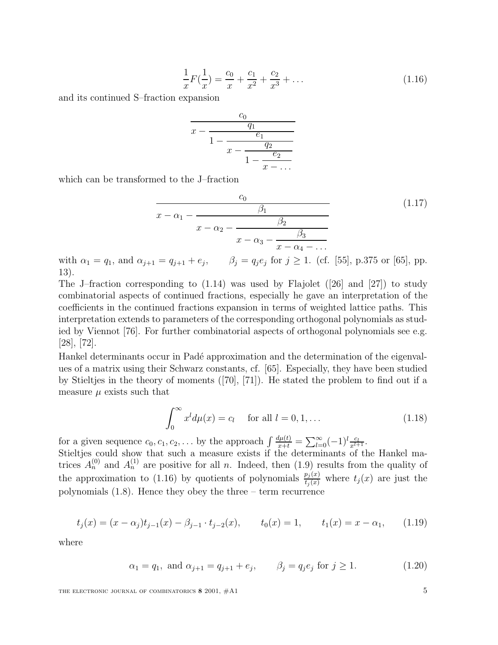$$
\frac{1}{x}F(\frac{1}{x}) = \frac{c_0}{x} + \frac{c_1}{x^2} + \frac{c_2}{x^3} + \dots
$$
\n(1.16)

and its continued S–fraction expansion

$$
\frac{c_0}{x - \frac{q_1}{1 - \frac{e_1}{x - \frac{q_2}{1 - \frac{e_2}{x - \dots}}}}}
$$

which can be transformed to the J–fraction

$$
\frac{c_0}{x - \alpha_1 - \frac{\beta_1}{x - \alpha_2 - \frac{\beta_2}{x - \alpha_3 - \frac{\beta_3}{x - \alpha_4 - \dots}}}}
$$
(1.17)

with  $\alpha_1 = q_1$ , and  $\alpha_{j+1} = q_{j+1} + e_j$ ,  $\beta_j = q_j e_j$  for  $j \ge 1$ . (cf. [55], p.375 or [65], pp. 13).

The J–fraction corresponding to  $(1.14)$  was used by Flajolet  $(26)$  and  $[27]$ ) to study combinatorial aspects of continued fractions, especially he gave an interpretation of the coefficients in the continued fractions expansion in terms of weighted lattice paths. This interpretation extends to parameters of the corresponding orthogonal polynomials as studied by Viennot [76]. For further combinatorial aspects of orthogonal polynomials see e.g. [28], [72].

Hankel determinants occur in Padé approximation and the determination of the eigenvalues of a matrix using their Schwarz constants, cf. [65]. Especially, they have been studied by Stieltjes in the theory of moments ([70], [71]). He stated the problem to find out if a measure  $\mu$  exists such that

$$
\int_0^\infty x^l d\mu(x) = c_l \quad \text{ for all } l = 0, 1, \dots \tag{1.18}
$$

for a given sequence  $c_0, c_1, c_2,...$  by the approach  $\int \frac{d\mu(t)}{x+t} = \sum_{l=0}^{\infty} (-1)^l \frac{c_l}{x^{l+1}}$ .

Stieltjes could show that such a measure exists if the determinants of the Hankel matrices  $A_n^{(0)}$  and  $A_n^{(1)}$  are positive for all n. Indeed, then (1.9) results from the quality of the approximation to (1.16) by quotients of polynomials  $\frac{p_j(x)}{t_j(x)}$  where  $t_j(x)$  are just the polynomials (1.8). Hence they obey the three – term recurrence

$$
t_j(x) = (x - \alpha_j)t_{j-1}(x) - \beta_{j-1} \cdot t_{j-2}(x), \qquad t_0(x) = 1, \qquad t_1(x) = x - \alpha_1,\tag{1.19}
$$

where

$$
\alpha_1 = q_1
$$
, and  $\alpha_{j+1} = q_{j+1} + e_j$ ,  $\beta_j = q_j e_j$  for  $j \ge 1$ . (1.20)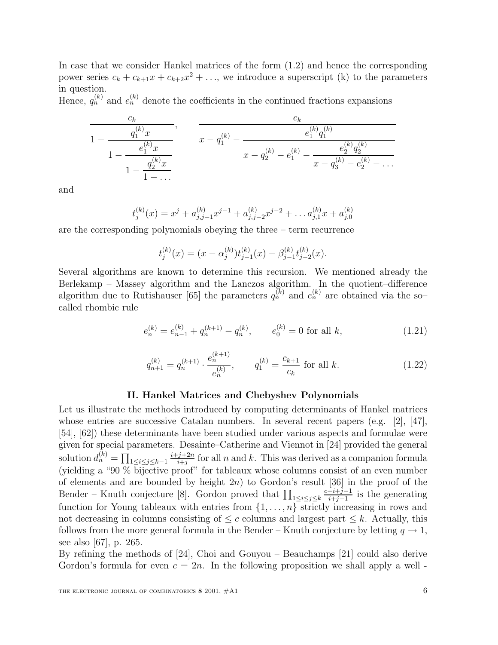In case that we consider Hankel matrices of the form (1.2) and hence the corresponding power series  $c_k + c_{k+1}x + c_{k+2}x^2 + \ldots$ , we introduce a superscript (k) to the parameters in question.

Hence,  $q_n^{(k)}$  and  $e_n^{(k)}$  denote the coefficients in the continued fractions expansions

$$
\frac{c_k}{1 - \frac{q_1^{(k)}x}{1 - \frac{e_1^{(k)}x}{1 - \frac{q_2^{(k)}x}{1 - \dots}}}}, \qquad \frac{c_k}{x - q_1^{(k)} - \frac{e_1^{(k)}q_1^{(k)}}{x - q_2^{(k)} - e_1^{(k)} - \frac{e_2^{(k)}q_2^{(k)}}{x - q_3^{(k)} - e_2^{(k)} - \dots}}}
$$

and

$$
t_j^{(k)}(x) = x^j + a_{j,j-1}^{(k)} x^{j-1} + a_{j,j-2}^{(k)} x^{j-2} + \dots + a_{j,1}^{(k)} x + a_{j,0}^{(k)}
$$

are the corresponding polynomials obeying the three – term recurrence

$$
t_j^{(k)}(x) = (x - \alpha_j^{(k)}) t_{j-1}^{(k)}(x) - \beta_{j-1}^{(k)} t_{j-2}^{(k)}(x).
$$

Several algorithms are known to determine this recursion. We mentioned already the Berlekamp – Massey algorithm and the Lanczos algorithm. In the quotient–difference algorithm due to Rutishauser [65] the parameters  $q_n^{(k)}$  and  $e_n^{(k)}$  are obtained via the socalled rhombic rule

$$
e_n^{(k)} = e_{n-1}^{(k)} + q_n^{(k+1)} - q_n^{(k)}, \qquad e_0^{(k)} = 0 \text{ for all } k,
$$
\n(1.21)

$$
q_{n+1}^{(k)} = q_n^{(k+1)} \cdot \frac{e_n^{(k+1)}}{e_n^{(k)}}, \qquad q_1^{(k)} = \frac{c_{k+1}}{c_k} \text{ for all } k. \tag{1.22}
$$

#### **II. Hankel Matrices and Chebyshev Polynomials**

Let us illustrate the methods introduced by computing determinants of Hankel matrices whose entries are successive Catalan numbers. In several recent papers (e.g. [2], [47], [54], [62]) these determinants have been studied under various aspects and formulae were given for special parameters. Desainte–Catherine and Viennot in [24] provided the general solution  $d_n^{(k)} = \prod_{1 \leq i \leq j \leq k-1}$  $\frac{i+j+2n}{i+j}$  for all n and k. This was derived as a companion formula (yielding a "90 % bijective proof" for tableaux whose columns consist of an even number of elements and are bounded by height  $2n$ ) to Gordon's result [36] in the proof of the Bender – Knuth conjecture [8]. Gordon proved that  $\prod_{1 \leq i \leq j \leq k}$  $\frac{c+i+j-1}{i+j-1}$  is the generating function for Young tableaux with entries from  $\{1,\ldots,n\}$  strictly increasing in rows and not decreasing in columns consisting of  $\leq c$  columns and largest part  $\leq k$ . Actually, this follows from the more general formula in the Bender – Knuth conjecture by letting  $q \to 1$ , see also [67], p. 265.

By refining the methods of [24], Choi and Gouyou – Beauchamps [21] could also derive Gordon's formula for even  $c = 2n$ . In the following proposition we shall apply a well -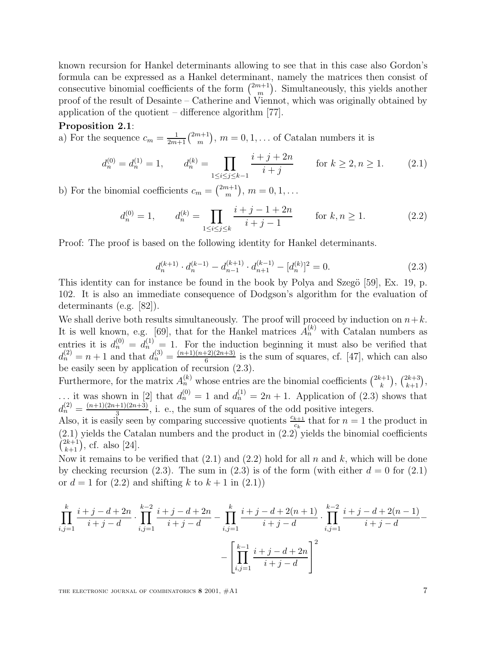known recursion for Hankel determinants allowing to see that in this case also Gordon's formula can be expressed as a Hankel determinant, namely the matrices then consist of consecutive binomial coefficients of the form  $\binom{2m+1}{m}$ . Simultaneously, this yields another proof of the result of Desainte – Catherine and Viennot, which was originally obtained by application of the quotient – difference algorithm [77].

#### **Proposition 2.1**:

a) For the sequence  $c_m = \frac{1}{2m+1} {2m+1 \choose m}$ ,  $m = 0, 1, \ldots$  of Catalan numbers it is

$$
d_n^{(0)} = d_n^{(1)} = 1, \qquad d_n^{(k)} = \prod_{1 \le i \le j \le k-1} \frac{i+j+2n}{i+j} \qquad \text{for } k \ge 2, n \ge 1. \tag{2.1}
$$

b) For the binomial coefficients  $c_m = \binom{2m+1}{m}$ ,  $m = 0, 1, \ldots$ 

$$
d_n^{(0)} = 1, \qquad d_n^{(k)} = \prod_{1 \le i \le j \le k} \frac{i+j-1+2n}{i+j-1} \qquad \text{for } k, n \ge 1. \tag{2.2}
$$

Proof: The proof is based on the following identity for Hankel determinants.

$$
d_n^{(k+1)} \cdot d_n^{(k-1)} - d_{n-1}^{(k+1)} \cdot d_{n+1}^{(k-1)} - [d_n^{(k)}]^2 = 0.
$$
 (2.3)

This identity can for instance be found in the book by Polya and Szegö [59], Ex. 19, p. 102. It is also an immediate consequence of Dodgson's algorithm for the evaluation of determinants (e.g. [82]).

We shall derive both results simultaneously. The proof will proceed by induction on  $n+k$ . It is well known, e.g. [69], that for the Hankel matrices  $A_n^{(k)}$  with Catalan numbers as entries it is  $d_n^{(0)} = d_n^{(1)} = 1$ . For the induction beginning it must also be verified that  $d_n^{(2)} = n + 1$  and that  $d_n^{(3)} = \frac{(n+1)(n+2)(2n+3)}{6}$  is the sum of squares, cf. [47], which can also be easily seen by application of recursion (2.3).

Furthermore, for the matrix  $A_n^{(k)}$  whose entries are the binomial coefficients  $\binom{2k+1}{k}$ ,  $\binom{2k+3}{k+1}$ , ... it was shown in [2] that  $d_n^{(0)} = 1$  and  $d_n^{(1)} = 2n + 1$ . Application of (2.3) shows that  $d_n^{(2)} = \frac{(n+1)(2n+1)(2n+3)}{3}$ , i. e., the sum of squares of the odd positive integers.

Also, it is easily seen by comparing successive quotients  $\frac{c_{k+1}}{c_k}$  that for  $n = 1$  the product in (2.1) yields the Catalan numbers and the product in (2.2) yields the binomial coefficients  $\left(\begin{matrix} 2k+1 \\ k+1 \end{matrix}\right)$ , cf. also [24].

Now it remains to be verified that  $(2.1)$  and  $(2.2)$  hold for all n and k, which will be done by checking recursion (2.3). The sum in (2.3) is of the form (with either  $d = 0$  for (2.1) or  $d = 1$  for  $(2.2)$  and shifting k to  $k + 1$  in  $(2.1)$ )

$$
\prod_{i,j=1}^{k} \frac{i+j-d+2n}{i+j-d} \cdot \prod_{i,j=1}^{k-2} \frac{i+j-d+2n}{i+j-d} - \prod_{i,j=1}^{k} \frac{i+j-d+2(n+1)}{i+j-d} \cdot \prod_{i,j=1}^{k-2} \frac{i+j-d+2(n-1)}{i+j-d} - \left[ \prod_{i,j=1}^{k-1} \frac{i+j-d+2n}{i+j-d} \right]^2
$$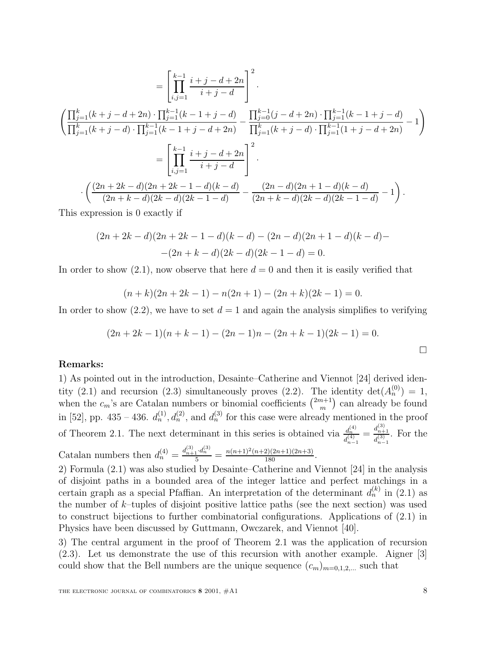$$
= \left[\prod_{i,j=1}^{k-1} \frac{i+j-d+2n}{i+j-d}\right]^2.
$$
  

$$
\left(\frac{\prod_{j=1}^k (k+j-d+2n) \cdot \prod_{j=1}^{k-1} (k-1+j-d)}{\prod_{j=1}^k (k+j-d) \cdot \prod_{j=1}^{k-1} (k-1+j-d+2n)} - \frac{\prod_{j=0}^{k-1} (j-d+2n) \cdot \prod_{j=1}^{k-1} (k-1+j-d)}{\prod_{j=1}^k (k+j-d) \cdot \prod_{j=1}^{k-1} (1+j-d+2n)} - 1\right)
$$
  

$$
= \left[\prod_{i,j=1}^{k-1} \frac{i+j-d+2n}{i+j-d}\right]^2.
$$
  

$$
\cdot \left(\frac{(2n+2k-d)(2n+2k-1-d)(k-d)}{(2n+k-d)(2k-d)(2k-1-d)} - \frac{(2n-d)(2n+1-d)(k-d)}{(2n+k-d)(2k-d)(2k-1-d)} - 1\right).
$$

This expression is 0 exactly if

$$
(2n+2k-d)(2n+2k-1-d)(k-d) - (2n-d)(2n+1-d)(k-d) -
$$

$$
-(2n+k-d)(2k-d)(2k-1-d) = 0.
$$

In order to show  $(2.1)$ , now observe that here  $d = 0$  and then it is easily verified that

$$
(n+k)(2n+2k-1) - n(2n+1) - (2n+k)(2k-1) = 0.
$$

In order to show  $(2.2)$ , we have to set  $d = 1$  and again the analysis simplifies to verifying

$$
(2n+2k-1)(n+k-1) - (2n-1)n - (2n+k-1)(2k-1) = 0.
$$

# **Remarks:**

1) As pointed out in the introduction, Desainte–Catherine and Viennot [24] derived identity (2.1) and recursion (2.3) simultaneously proves (2.2). The identity  $\det(A_n^{(0)}) = 1$ , when the  $c_m$ 's are Catalan numbers or binomial coefficients  $\binom{2m+1}{m}$  can already be found in [52], pp. 435 – 436.  $d_n^{(1)}$ ,  $d_n^{(2)}$ , and  $d_n^{(3)}$  for this case were already mentioned in the proof of Theorem 2.1. The next determinant in this series is obtained via  $\frac{d_n^{(4)}}{d_{n-1}^{(4)}}$  $=\frac{d_{n+1}^{(3)}}{d_{n-1}^{(3)}}$ . For the Catalan numbers then  $d_n^{(4)} = \frac{d_{n+1}^{(3)} \cdot d_n^{(3)}}{5} = \frac{n(n+1)^2(n+2)(2n+1)(2n+3)}{180}$ .

2) Formula (2.1) was also studied by Desainte–Catherine and Viennot [24] in the analysis of disjoint paths in a bounded area of the integer lattice and perfect matchings in a certain graph as a special Pfaffian. An interpretation of the determinant  $d_n^{(k)}$  in (2.1) as the number of  $k$ -tuples of disjoint positive lattice paths (see the next section) was used to construct bijections to further combinatorial configurations. Applications of (2.1) in Physics have been discussed by Guttmann, Owczarek, and Viennot [40].

3) The central argument in the proof of Theorem 2.1 was the application of recursion (2.3). Let us demonstrate the use of this recursion with another example. Aigner [3] could show that the Bell numbers are the unique sequence  $(c_m)_{m=0,1,2,...}$  such that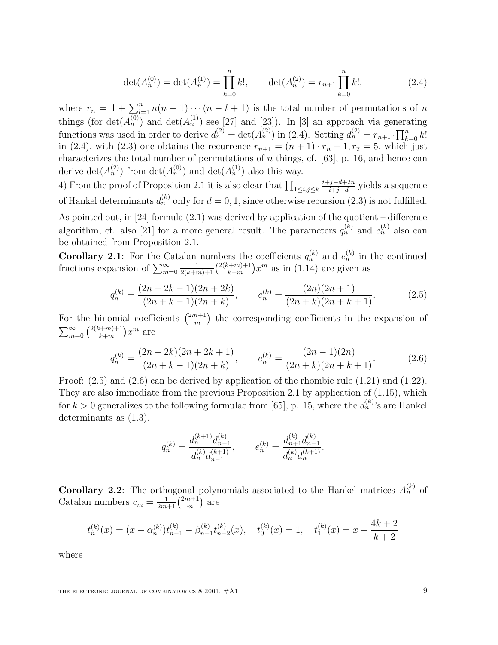$$
\det(A_n^{(0)}) = \det(A_n^{(1)}) = \prod_{k=0}^n k!, \qquad \det(A_n^{(2)}) = r_{n+1} \prod_{k=0}^n k!, \qquad (2.4)
$$

where  $r_n = 1 + \sum_{l=1}^n n(n-1)\cdots(n-l+1)$  is the total number of permutations of n things (for  $\det(A_n^{(0)})$  and  $\det(A_n^{(1)})$  see [27] and [23]). In [3] an approach via generating functions was used in order to derive  $d_n^{(2)} = \det(A_n^{(2)})$  in (2.4). Setting  $d_n^{(2)} = r_{n+1} \cdot \prod_{k=0}^n k!$ in (2.4), with (2.3) one obtains the recurrence  $r_{n+1} = (n+1) \cdot r_n + 1, r_2 = 5$ , which just characterizes the total number of permutations of  $n$  things, cf. [63], p. 16, and hence can derive  $\det(A_n^{(2)})$  from  $\det(A_n^{(0)})$  and  $\det(A_n^{(1)})$  also this way.

4) From the proof of Proposition 2.1 it is also clear that  $\prod_{1 \leq i,j \leq k}$  $\frac{i+j-d+2n}{i+j-d}$  yields a sequence of Hankel determinants  $d_n^{(k)}$  only for  $d = 0, 1$ , since otherwise recursion (2.3) is not fulfilled. As pointed out, in [24] formula (2.1) was derived by application of the quotient – difference algorithm, cf. also [21] for a more general result. The parameters  $q_n^{(k)}$  and  $e_n^{(k)}$  also can be obtained from Proposition 2.1.

**Corollary 2.1**: For the Catalan numbers the coefficients  $q_n^{(k)}$  and  $e_n^{(k)}$  in the continued fractions expansion of  $\sum_{m=0}^{\infty} \frac{1}{2(k+m)+1} {2(k+m)+1 \choose k+m} x^m$  as in (1.14) are given as

$$
q_n^{(k)} = \frac{(2n+2k-1)(2n+2k)}{(2n+k-1)(2n+k)}, \qquad e_n^{(k)} = \frac{(2n)(2n+1)}{(2n+k)(2n+k+1)}.\tag{2.5}
$$

For the binomial coefficients  $\binom{2m+1}{m}$  the corresponding coefficients in the expansion of  $\sum_{m=0}^{\infty} {2(k+m)+1 \choose k+m} x^m$  are

$$
q_n^{(k)} = \frac{(2n+2k)(2n+2k+1)}{(2n+k-1)(2n+k)}, \qquad e_n^{(k)} = \frac{(2n-1)(2n)}{(2n+k)(2n+k+1)}.\tag{2.6}
$$

Proof: (2.5) and (2.6) can be derived by application of the rhombic rule (1.21) and (1.22). They are also immediate from the previous Proposition 2.1 by application of (1.15), which for  $k > 0$  generalizes to the following formulae from [65], p. 15, where the  $d_n^{(k)}$  s are Hankel determinants as (1.3).

$$
q_n^{(k)} = \frac{d_n^{(k+1)} d_{n-1}^{(k)}}{d_n^{(k)} d_{n-1}^{(k+1)}}, \qquad e_n^{(k)} = \frac{d_{n+1}^{(k)} d_{n-1}^{(k)}}{d_n^{(k)} d_n^{(k+1)}}.
$$

**Corollary 2.2**: The orthogonal polynomials associated to the Hankel matrices  $A_n^{(k)}$  of Catalan numbers  $c_m = \frac{1}{2m+1} {2m+1 \choose m}$  are

$$
t_n^{(k)}(x) = (x - \alpha_n^{(k)})t_{n-1}^{(k)} - \beta_{n-1}^{(k)}t_{n-2}^{(k)}(x), \quad t_0^{(k)}(x) = 1, \quad t_1^{(k)}(x) = x - \frac{4k+2}{k+2}
$$

where

THE ELECTRONIC JOURNAL OF COMBINATORICS  $8\ 2001, \#A1$  9

 $\Box$ 

 $\overline{\phantom{a}}$  . The contract of  $\overline{\phantom{a}}$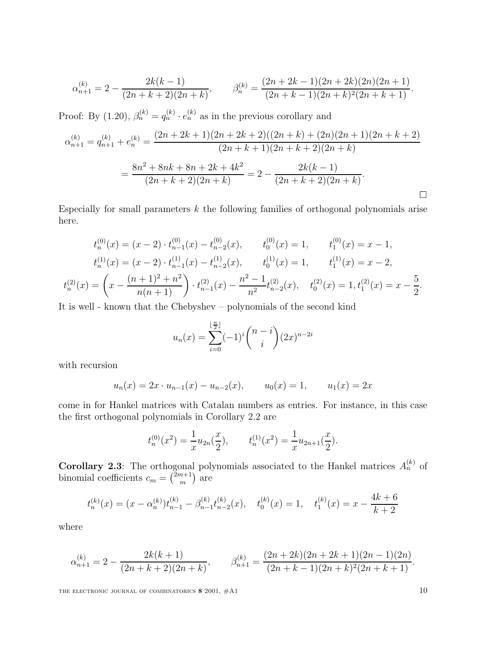$$
\alpha_{n+1}^{(k)} = 2 - \frac{2k(k-1)}{(2n+k+2)(2n+k)}, \qquad \beta_n^{(k)} = \frac{(2n+2k-1)(2n+2k)(2n)(2n+1)}{(2n+k-1)(2n+k)^2(2n+k+1)}.
$$

Proof: By (1.20),  $\beta_n^{(k)} = q_n^{(k)} \cdot e_n^{(k)}$  as in the previous corollary and

$$
\alpha_{n+1}^{(k)} = q_{n+1}^{(k)} + e_n^{(k)} = \frac{(2n+2k+1)(2n+2k+2)((2n+k)+(2n)(2n+1)(2n+k+2))}{(2n+k+1)(2n+k+2)(2n+k)}
$$

$$
= \frac{8n^2+8nk+8n+2k+4k^2}{(2n+k+2)(2n+k)} = 2 - \frac{2k(k-1)}{(2n+k+2)(2n+k)}.
$$

Especially for small parameters  $k$  the following families of orthogonal polynomials arise here.

$$
t_n^{(0)}(x) = (x - 2) \cdot t_{n-1}^{(0)}(x) - t_{n-2}^{(0)}(x), \qquad t_0^{(0)}(x) = 1, \qquad t_1^{(0)}(x) = x - 1,
$$
  

$$
t_n^{(1)}(x) = (x - 2) \cdot t_{n-1}^{(1)}(x) - t_{n-2}^{(1)}(x), \qquad t_0^{(1)}(x) = 1, \qquad t_1^{(1)}(x) = x - 2,
$$
  

$$
t_n^{(2)}(x) = \left(x - \frac{(n+1)^2 + n^2}{n(n+1)}\right) \cdot t_{n-1}^{(2)}(x) - \frac{n^2 - 1}{n^2} t_{n-2}^{(2)}(x), \quad t_0^{(2)}(x) = 1, t_1^{(2)}(x) = x - \frac{5}{2}.
$$

It is well - known that the Chebyshev – polynomials of the second kind

$$
u_n(x) = \sum_{i=0}^{\lfloor \frac{n}{2} \rfloor} (-1)^i \binom{n-i}{i} (2x)^{n-2i}
$$

with recursion

$$
u_n(x) = 2x \cdot u_{n-1}(x) - u_{n-2}(x),
$$
  $u_0(x) = 1,$   $u_1(x) = 2x$ 

come in for Hankel matrices with Catalan numbers as entries. For instance, in this case the first orthogonal polynomials in Corollary 2.2 are

$$
t_n^{(0)}(x^2) = \frac{1}{x}u_{2n}(\frac{x}{2}),
$$
  $t_n^{(1)}(x^2) = \frac{1}{x}u_{2n+1}(\frac{x}{2}).$ 

**Corollary 2.3**: The orthogonal polynomials associated to the Hankel matrices  $A_n^{(k)}$  of binomial coefficients  $c_m = \binom{2m+1}{m}$  are

$$
t_n^{(k)}(x) = (x - \alpha_n^{(k)})t_{n-1}^{(k)} - \beta_{n-1}^{(k)}t_{n-2}^{(k)}(x), \quad t_0^{(k)}(x) = 1, \quad t_1^{(k)}(x) = x - \frac{4k+6}{k+2}
$$

where

$$
\alpha_{n+1}^{(k)} = 2 - \frac{2k(k+1)}{(2n+k+2)(2n+k)}, \qquad \beta_{n+1}^{(k)} = \frac{(2n+2k)(2n+2k+1)(2n-1)(2n)}{(2n+k-1)(2n+k)^2(2n+k+1)}.
$$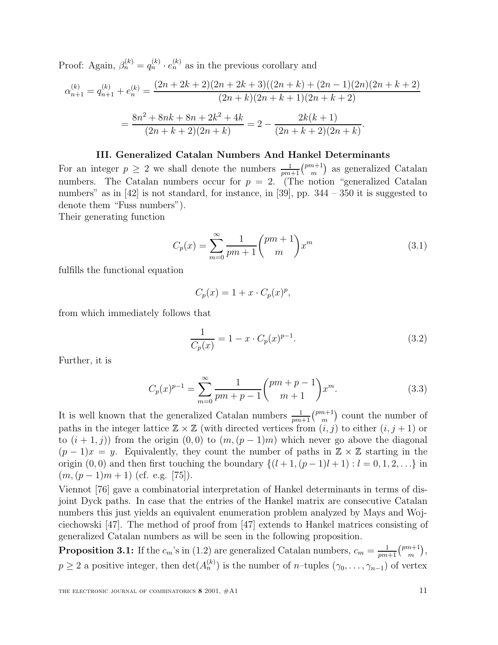Proof: Again,  $\beta_n^{(k)} = q_n^{(k)} \cdot e_n^{(k)}$  as in the previous corollary and

$$
\alpha_{n+1}^{(k)} = q_{n+1}^{(k)} + e_n^{(k)} = \frac{(2n+2k+2)(2n+2k+3)((2n+k)+(2n-1)(2n)(2n+k+2))}{(2n+k)(2n+k+1)(2n+k+2)}
$$

$$
= \frac{8n^2 + 8nk + 8n + 2k^2 + 4k}{(2n+k+2)(2n+k)} = 2 - \frac{2k(k+1)}{(2n+k+2)(2n+k)}.
$$

# **III. Generalized Catalan Numbers And Hankel Determinants**

For an integer  $p \geq 2$  we shall denote the numbers  $\frac{1}{pm+1} {pm+1 \choose m}$  as generalized Catalan numbers. The Catalan numbers occur for  $p = 2$ . (The notion "generalized Catalan numbers" as in  $[42]$  is not standard, for instance, in  $[39]$ , pp.  $344 - 350$  it is suggested to denote them "Fuss numbers").

Their generating function

$$
C_p(x) = \sum_{m=0}^{\infty} \frac{1}{pm+1} {pm+1 \choose m} x^m
$$
 (3.1)

fulfills the functional equation

$$
C_p(x) = 1 + x \cdot C_p(x)^p,
$$

from which immediately follows that

$$
\frac{1}{C_p(x)} = 1 - x \cdot C_p(x)^{p-1}.
$$
\n(3.2)

Further, it is

$$
C_p(x)^{p-1} = \sum_{m=0}^{\infty} \frac{1}{pm+p-1} {pm+p-1 \choose m+1} x^m.
$$
 (3.3)

It is well known that the generalized Catalan numbers  $\frac{1}{pm+1} {pm+1 \choose m}$  count the number of paths in the integer lattice  $\mathbb{Z} \times \mathbb{Z}$  (with directed vertices from  $(i, j)$  to either  $(i, j + 1)$  or to  $(i + 1, j)$  from the origin  $(0, 0)$  to  $(m, (p - 1)m)$  which never go above the diagonal  $(p-1)x = y$ . Equivalently, they count the number of paths in  $\mathbb{Z} \times \mathbb{Z}$  starting in the origin  $(0,0)$  and then first touching the boundary  $\{(l+1,(p-1)l+1): l=0,1,2,...\}$  in  $(m,(p-1)m+1)$  (cf. e.g. [75]).

Viennot [76] gave a combinatorial interpretation of Hankel determinants in terms of disjoint Dyck paths. In case that the entries of the Hankel matrix are consecutive Catalan numbers this just yields an equivalent enumeration problem analyzed by Mays and Wojciechowski [47]. The method of proof from [47] extends to Hankel matrices consisting of generalized Catalan numbers as will be seen in the following proposition.

**Proposition 3.1:** If the  $c_m$ 's in (1.2) are generalized Catalan numbers,  $c_m = \frac{1}{pm+1} {pm+1 \choose m}$ ,  $p \geq 2$  a positive integer, then  $\det(A_n^{(k)})$  is the number of n–tuples  $(\gamma_0,\ldots,\gamma_{n-1})$  of vertex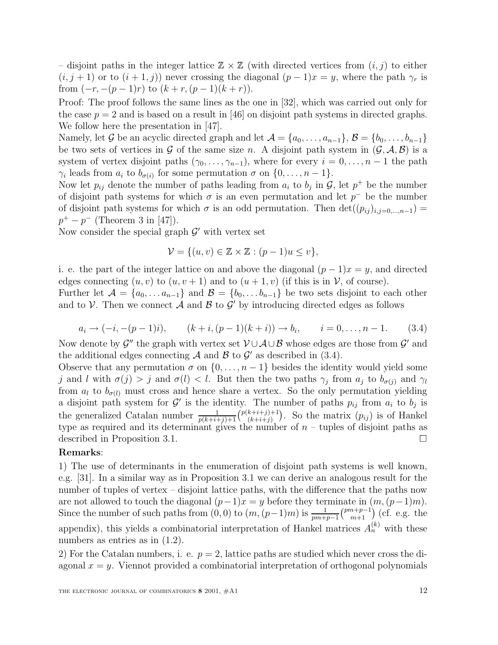– disjoint paths in the integer lattice  $\mathbb{Z} \times \mathbb{Z}$  (with directed vertices from  $(i, j)$  to either  $(i, j + 1)$  or to  $(i + 1, j)$  never crossing the diagonal  $(p - 1)x = y$ , where the path  $\gamma_r$  is from  $(-r, -(p-1)r)$  to  $(k + r, (p-1)(k + r))$ .

Proof: The proof follows the same lines as the one in [32], which was carried out only for the case  $p = 2$  and is based on a result in [46] on disjoint path systems in directed graphs. We follow here the presentation in [47].

Namely, let G be an acyclic directed graph and let  $\mathcal{A} = \{a_0, \ldots, a_{n-1}\}, \mathcal{B} = \{b_0, \ldots, b_{n-1}\}\$ be two sets of vertices in G of the same size n. A disjoint path system in  $(G, \mathcal{A}, \mathcal{B})$  is a system of vertex disjoint paths  $(\gamma_0,\ldots,\gamma_{n-1})$ , where for every  $i=0,\ldots,n-1$  the path  $\gamma_i$  leads from  $a_i$  to  $b_{\sigma(i)}$  for some permutation  $\sigma$  on  $\{0,\ldots,n-1\}$ .

Now let  $p_{ij}$  denote the number of paths leading from  $a_i$  to  $b_j$  in  $\mathcal{G}$ , let  $p^+$  be the number of disjoint path systems for which  $\sigma$  is an even permutation and let  $p^-$  be the number of disjoint path systems for which  $\sigma$  is an odd permutation. Then  $\det((p_{ij})_{i,j=0,\dots,n-1})=$  $p^+ - p^-$  (Theorem 3 in [47]).

Now consider the special graph  $\mathcal{G}'$  with vertex set

$$
\mathcal{V} = \{(u, v) \in \mathbb{Z} \times \mathbb{Z} : (p - 1)u \le v\},\
$$

i. e. the part of the integer lattice on and above the diagonal  $(p-1)x = y$ , and directed edges connecting  $(u, v)$  to  $(u, v + 1)$  and to  $(u + 1, v)$  (if this is in  $V$ , of course).

Further let  $\mathcal{A} = \{a_0, \ldots a_{n-1}\}\$  and  $\mathcal{B} = \{b_0, \ldots b_{n-1}\}\$  be two sets disjoint to each other and to V. Then we connect A and B to G' by introducing directed edges as follows

$$
a_i \to (-i, -(p-1)i), \qquad (k+i, (p-1)(k+i)) \to b_i, \qquad i = 0, \dots, n-1.
$$
 (3.4)

Now denote by  $\mathcal{G}''$  the graph with vertex set  $\mathcal{V}\cup\mathcal{A}\cup\mathcal{B}$  whose edges are those from  $\mathcal{G}'$  and the additional edges connecting  $\mathcal A$  and  $\mathcal B$  to  $\mathcal G'$  as described in (3.4).

Observe that any permutation  $\sigma$  on  $\{0,\ldots,n-1\}$  besides the identity would yield some j and l with  $\sigma(j) > j$  and  $\sigma(l) < l$ . But then the two paths  $\gamma_j$  from  $a_j$  to  $b_{\sigma(j)}$  and  $\gamma_l$ from  $a_l$  to  $b_{\sigma(l)}$  must cross and hence share a vertex. So the only permutation yielding a disjoint path system for  $\mathcal{G}'$  is the identity. The number of paths  $p_{ij}$  from  $a_i$  to  $b_j$  is the generalized Catalan number  $\frac{1}{p(k+i+j)+1} \left( \frac{p(k+i+j)+1}{(k+i+j)} \right)$ . So the matrix  $(p_{ij})$  is of Hankel type as required and its determinant gives the number of  $n-$  tuples of disjoint paths as described in Proposition 3.1.

# **Remarks**:

1) The use of determinants in the enumeration of disjoint path systems is well known, e.g. [31]. In a similar way as in Proposition 3.1 we can derive an analogous result for the number of tuples of vertex – disjoint lattice paths, with the difference that the paths now are not allowed to touch the diagonal  $(p-1)x = y$  before they terminate in  $(m,(p-1)m)$ . Since the number of such paths from  $(0,0)$  to  $(m,(p-1)m)$  is  $\frac{1}{pm+p-1}{pm+p-1 \choose m+1}$  (cf. e.g. the appendix), this yields a combinatorial interpretation of Hankel matrices  $A_n^{(k)}$  with these numbers as entries as in  $(1.2)$ .

2) For the Catalan numbers, i. e.  $p = 2$ , lattice paths are studied which never cross the diagonal  $x = y$ . Viennot provided a combinatorial interpretation of orthogonal polynomials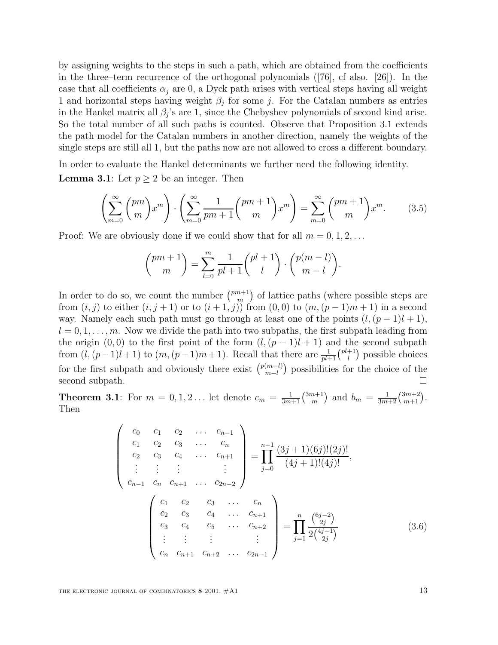by assigning weights to the steps in such a path, which are obtained from the coefficients in the three–term recurrence of the orthogonal polynomials ([76], cf also. [26]). In the case that all coefficients  $\alpha_i$  are 0, a Dyck path arises with vertical steps having all weight 1 and horizontal steps having weight  $\beta_i$  for some j. For the Catalan numbers as entries in the Hankel matrix all  $\beta_i$ 's are 1, since the Chebyshev polynomials of second kind arise. So the total number of all such paths is counted. Observe that Proposition 3.1 extends the path model for the Catalan numbers in another direction, namely the weights of the single steps are still all 1, but the paths now are not allowed to cross a different boundary.

In order to evaluate the Hankel determinants we further need the following identity. **Lemma 3.1**: Let  $p \geq 2$  be an integer. Then

$$
\left(\sum_{m=0}^{\infty} {pm \choose m} x^m \right) \cdot \left(\sum_{m=0}^{\infty} \frac{1}{pm+1} {pm+1 \choose m} x^m \right) = \sum_{m=0}^{\infty} {pm+1 \choose m} x^m. \tag{3.5}
$$

Proof: We are obviously done if we could show that for all  $m = 0, 1, 2, \ldots$ 

$$
\binom{pm+1}{m} = \sum_{l=0}^{m} \frac{1}{pl+1} \binom{pl+1}{l} \cdot \binom{p(m-l)}{m-l}.
$$

In order to do so, we count the number  $\binom{pm+1}{m}$  of lattice paths (where possible steps are from  $(i, j)$  to either  $(i, j + 1)$  or to  $(i + 1, j)$  from  $(0, 0)$  to  $(m, (p - 1)m + 1)$  in a second way. Namely each such path must go through at least one of the points  $(l,(p-1)l+1)$ ,  $l = 0, 1, \ldots, m$ . Now we divide the path into two subpaths, the first subpath leading from the origin  $(0, 0)$  to the first point of the form  $(l, (p - 1)l + 1)$  and the second subpath from  $(l, (p-1)l + 1)$  to  $(m, (p-1)m + 1)$ . Recall that there are  $\frac{1}{pl+1} {pt+1 \choose l}$  possible choices for the first subpath and obviously there exist  $\binom{p(m-l)}{m-l}$  possibilities for the choice of the second subpath.

**Theorem 3.1**: For  $m = 0, 1, 2...$  let denote  $c_m = \frac{1}{3m+1} {3m+1 \choose m}$  and  $b_m = \frac{1}{3m+2} {3m+2 \choose m+1}$ . Then

$$
\begin{pmatrix}\nc_0 & c_1 & c_2 & \dots & c_{n-1} \\
c_1 & c_2 & c_3 & \dots & c_n \\
c_2 & c_3 & c_4 & \dots & c_{n+1} \\
\vdots & \vdots & \vdots & & \vdots \\
c_{n-1} & c_n & c_{n+1} & \dots & c_{2n-2}\n\end{pmatrix} = \prod_{j=0}^{n-1} \frac{(3j+1)(6j)!(2j)!}{(4j+1)!(4j)!},
$$
\n
$$
\begin{pmatrix}\nc_1 & c_2 & c_3 & \dots & c_n \\
c_2 & c_3 & c_4 & \dots & c_{n+1} \\
c_3 & c_4 & c_5 & \dots & c_{n+2} \\
\vdots & \vdots & \vdots & & \vdots \\
c_n & c_{n+1} & c_{n+2} & \dots & c_{2n-1}\n\end{pmatrix} = \prod_{j=1}^{n} \frac{\binom{6j-2}{2j}}{2\binom{4j-1}{2j}} \tag{3.6}
$$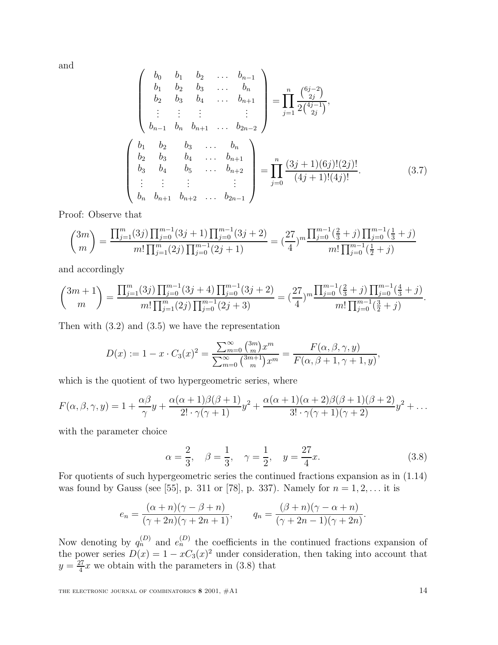and

$$
\begin{pmatrix}\nb_0 & b_1 & b_2 & \dots & b_{n-1} \\
b_1 & b_2 & b_3 & \dots & b_n \\
b_2 & b_3 & b_4 & \dots & b_{n+1} \\
\vdots & \vdots & \vdots & & \vdots \\
b_{n-1} & b_n & b_{n+1} & \dots & b_{2n-2}\n\end{pmatrix} = \prod_{j=1}^n \frac{\binom{6j-2}{2j}}{2\binom{4j-1}{2j}},
$$
\n
$$
\begin{pmatrix}\nb_1 & b_2 & b_3 & \dots & b_n \\
b_2 & b_3 & b_4 & \dots & b_{n+1} \\
b_3 & b_4 & b_5 & \dots & b_{n+2} \\
\vdots & \vdots & \vdots & & \vdots \\
b_n & b_{n+1} & b_{n+2} & \dots & b_{2n-1}\n\end{pmatrix} = \prod_{j=0}^n \frac{(3j+1)(6j)!(2j)!}{(4j+1)!(4j)!}.
$$
\n(3.7)

Proof: Observe that

$$
\binom{3m}{m} = \frac{\prod_{j=1}^{m} (3j) \prod_{j=0}^{m-1} (3j+1) \prod_{j=0}^{m-1} (3j+2)}{m! \prod_{j=1}^{m} (2j) \prod_{j=0}^{m-1} (2j+1)} = \left(\frac{27}{4}\right)^m \frac{\prod_{j=0}^{m-1} \left(\frac{2}{3}+j\right) \prod_{j=0}^{m-1} \left(\frac{1}{3}+j\right)}{m! \prod_{j=0}^{m-1} \left(\frac{1}{2}+j\right)}
$$

and accordingly

$$
\binom{3m+1}{m} = \frac{\prod_{j=1}^{m} (3j) \prod_{j=0}^{m-1} (3j+4) \prod_{j=0}^{m-1} (3j+2)}{m! \prod_{j=1}^{m} (2j) \prod_{j=0}^{m-1} (2j+3)} = \left(\frac{27}{4}\right)^m \frac{\prod_{j=0}^{m-1} (\frac{2}{3}+j) \prod_{j=0}^{m-1} (\frac{4}{3}+j)}{m! \prod_{j=0}^{m-1} (\frac{3}{2}+j)}.
$$

Then with  $(3.2)$  and  $(3.5)$  we have the representation

$$
D(x) := 1 - x \cdot C_3(x)^2 = \frac{\sum_{m=0}^{\infty} {3m \choose m} x^m}{\sum_{m=0}^{\infty} {3m+1 \choose m} x^m} = \frac{F(\alpha, \beta, \gamma, y)}{F(\alpha, \beta + 1, \gamma + 1, y)},
$$

which is the quotient of two hypergeometric series, where

$$
F(\alpha, \beta, \gamma, y) = 1 + \frac{\alpha \beta}{\gamma} y + \frac{\alpha(\alpha + 1)\beta(\beta + 1)}{2! \cdot \gamma(\gamma + 1)} y^2 + \frac{\alpha(\alpha + 1)(\alpha + 2)\beta(\beta + 1)(\beta + 2)}{3! \cdot \gamma(\gamma + 1)(\gamma + 2)} y^2 + \dots
$$

with the parameter choice

$$
\alpha = \frac{2}{3}, \quad \beta = \frac{1}{3}, \quad \gamma = \frac{1}{2}, \quad y = \frac{27}{4}x.
$$
\n(3.8)

For quotients of such hypergeometric series the continued fractions expansion as in (1.14) was found by Gauss (see [55], p. 311 or [78], p. 337). Namely for  $n = 1, 2, ...$  it is

$$
e_n = \frac{(\alpha + n)(\gamma - \beta + n)}{(\gamma + 2n)(\gamma + 2n + 1)}, \qquad q_n = \frac{(\beta + n)(\gamma - \alpha + n)}{(\gamma + 2n - 1)(\gamma + 2n)}.
$$

Now denoting by  $q_n^{(D)}$  and  $e_n^{(D)}$  the coefficients in the continued fractions expansion of the power series  $D(x)=1 - xC_3(x)^2$  under consideration, then taking into account that  $y = \frac{27}{4}x$  we obtain with the parameters in (3.8) that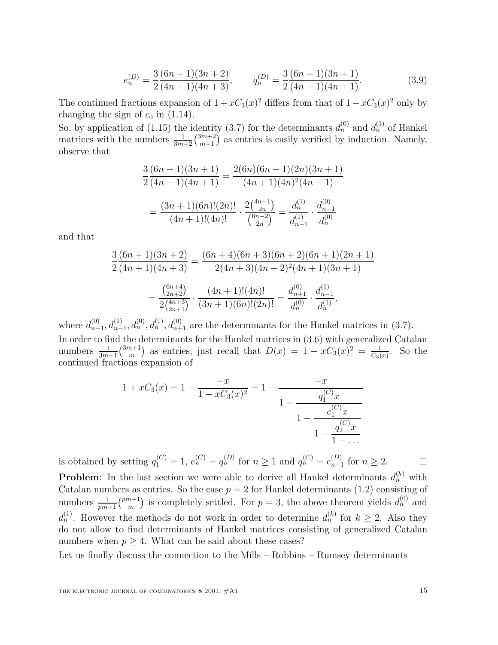$$
e_n^{(D)} = \frac{3}{2} \frac{(6n+1)(3n+2)}{(4n+1)(4n+3)}, \qquad q_n^{(D)} = \frac{3}{2} \frac{(6n-1)(3n+1)}{(4n-1)(4n+1)}.
$$
(3.9)

The continued fractions expansion of  $1 + xC_3(x)^2$  differs from that of  $1 - xC_3(x)^2$  only by changing the sign of  $c_0$  in (1.14).

So, by application of (1.15) the identity (3.7) for the determinants  $d_n^{(0)}$  and  $d_n^{(1)}$  of Hankel matrices with the numbers  $\frac{1}{3m+2} {3m+2 \choose m+1}$  as entries is easily verified by induction. Namely, observe that

$$
\frac{3(6n-1)(3n+1)}{2(4n-1)(4n+1)} = \frac{2(6n)(6n-1)(2n)(3n+1)}{(4n+1)(4n)^2(4n-1)}
$$

$$
= \frac{(3n+1)(6n)!(2n)!}{(4n+1)!(4n)!} \cdot \frac{2\binom{4n-1}{2n}}{\binom{6n-2}{2n}} = \frac{d_n^{(1)}}{d_{n-1}^{(1)}} \cdot \frac{d_{n-1}^{(0)}}{d_n^{(0)}}
$$

and that

$$
\frac{3}{2}\frac{(6n+1)(3n+2)}{(4n+1)(4n+3)} = \frac{(6n+4)(6n+3)(6n+2)(6n+1)(2n+1)}{2(4n+3)(4n+2)^2(4n+1)(3n+1)}
$$

$$
= \frac{\binom{6n+4}{2n+2}}{2\binom{4n+3}{2n+1}} \cdot \frac{(4n+1)!(4n)!}{(3n+1)(6n)!(2n)!} = \frac{d_{n+1}^{(0)}}{d_n^{(0)}} \cdot \frac{d_{n-1}^{(1)}}{d_n^{(1)}},
$$

where  $d_{n-1}^{(0)}, d_{n-1}^{(1)}, d_n^{(0)}, d_{n+1}^{(0)}$  are the determinants for the Hankel matrices in (3.7). In order to find the determinants for the Hankel matrices in (3.6) with generalized Catalan numbers  $\frac{1}{3m+1} {3m+1 \choose m}$  as entries, just recall that  $D(x) = 1 - xC_3(x)^2 = \frac{1}{C_3(x)}$ . So the continued fractions expansion of

$$
1 + xC_3(x) = 1 - \frac{-x}{1 - xC_3(x)^2} = 1 - \frac{-x}{1 - \frac{q_1^{(C)}x}{1 - \frac{e_1^{(C)}x}{1 - \frac{q_2^{(C)}x}{1 - \dots}}}}
$$

is obtained by setting  $q_1^{(C)} = 1$ ,  $e_n^{(C)} = q_n^{(D)}$  for  $n \ge 1$  and  $q_n^{(C)} = e_{n-1}^{(D)}$  for  $n \ge 2$ .

**Problem**: In the last section we were able to derive all Hankel determinants  $d_n^{(k)}$  with Catalan numbers as entries. So the case  $p = 2$  for Hankel determinants (1.2) consisting of numbers  $\frac{1}{pm+1} {pm+1 \choose m}$  is completely settled. For  $p=3$ , the above theorem yields  $d_n^{(0)}$  and  $d_n^{(1)}$ . However the methods do not work in order to determine  $d_n^{(k)}$  for  $k \geq 2$ . Also they do not allow to find determinants of Hankel matrices consisting of generalized Catalan numbers when  $p \geq 4$ . What can be said about these cases?

Let us finally discuss the connection to the Mills – Robbins – Rumsey determinants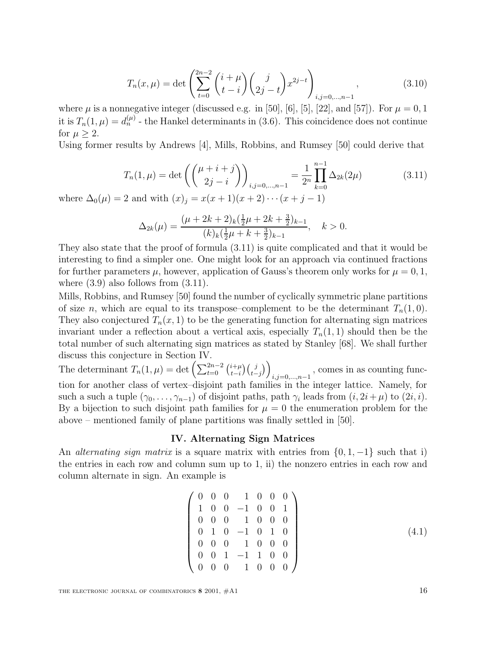$$
T_n(x,\mu) = \det \left( \sum_{t=0}^{2n-2} {i+\mu \choose t-i} {j \choose 2j-t} x^{2j-t} \right)_{i,j=0,\dots,n-1},\tag{3.10}
$$

where  $\mu$  is a nonnegative integer (discussed e.g. in [50], [6], [5], [22], and [57]). For  $\mu = 0, 1$ it is  $T_n(1,\mu) = d_n^{(\mu)}$  - the Hankel determinants in (3.6). This coincidence does not continue for  $\mu > 2$ .

Using former results by Andrews [4], Mills, Robbins, and Rumsey [50] could derive that

$$
T_n(1,\mu) = \det\left(\binom{\mu+i+j}{2j-i}\right)_{i,j=0,\dots,n-1} = \frac{1}{2^n} \prod_{k=0}^{n-1} \Delta_{2k}(2\mu)
$$
(3.11)

where  $\Delta_0(\mu) = 2$  and with  $(x)_j = x(x+1)(x+2)\cdots(x+j-1)$ 

$$
\Delta_{2k}(\mu) = \frac{(\mu + 2k + 2)_k(\frac{1}{2}\mu + 2k + \frac{3}{2})_{k-1}}{(k)_k(\frac{1}{2}\mu + k + \frac{3}{2})_{k-1}}, \quad k > 0.
$$

They also state that the proof of formula (3.11) is quite complicated and that it would be interesting to find a simpler one. One might look for an approach via continued fractions for further parameters  $\mu$ , however, application of Gauss's theorem only works for  $\mu = 0, 1$ , where  $(3.9)$  also follows from  $(3.11)$ .

Mills, Robbins, and Rumsey [50] found the number of cyclically symmetric plane partitions of size *n*, which are equal to its transpose–complement to be the determinant  $T_n(1, 0)$ . They also conjectured  $T_n(x, 1)$  to be the generating function for alternating sign matrices invariant under a reflection about a vertical axis, especially  $T_n(1,1)$  should then be the total number of such alternating sign matrices as stated by Stanley [68]. We shall further discuss this conjecture in Section IV.

The determinant  $T_n(1,\mu) = \det \left( \sum_{t=0}^{2n-2} {i+\mu \choose t-i} {j \choose t-j} \right)$  $i,j=0,...,n-1$ , comes in as counting function for another class of vertex–disjoint path families in the integer lattice. Namely, for such a such a tuple  $(\gamma_0,\ldots,\gamma_{n-1})$  of disjoint paths, path  $\gamma_i$  leads from  $(i, 2i+\mu)$  to  $(2i, i)$ . By a bijection to such disjoint path families for  $\mu = 0$  the enumeration problem for the above – mentioned family of plane partitions was finally settled in [50].

#### **IV. Alternating Sign Matrices**

An *alternating sign matrix* is a square matrix with entries from  $\{0, 1, -1\}$  such that i) the entries in each row and column sum up to 1, ii) the nonzero entries in each row and column alternate in sign. An example is

$$
\begin{pmatrix}\n0 & 0 & 0 & 1 & 0 & 0 & 0 \\
1 & 0 & 0 & -1 & 0 & 0 & 1 \\
0 & 0 & 0 & 1 & 0 & 0 & 0 \\
0 & 1 & 0 & -1 & 0 & 1 & 0 \\
0 & 0 & 0 & 1 & 0 & 0 & 0 \\
0 & 0 & 1 & -1 & 1 & 0 & 0 \\
0 & 0 & 0 & 1 & 0 & 0 & 0\n\end{pmatrix}
$$
\n(4.1)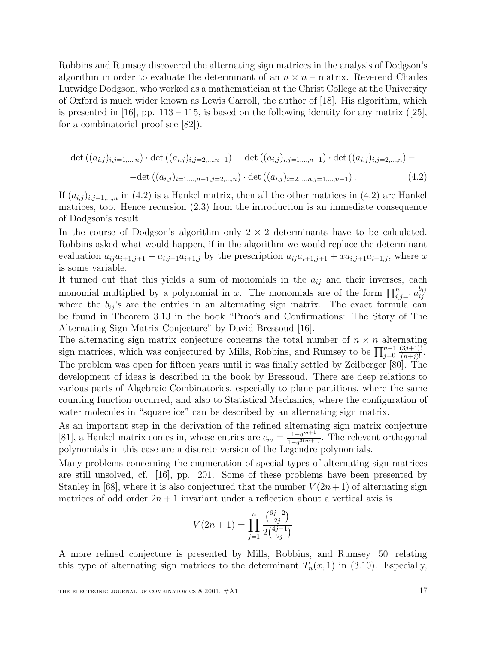Robbins and Rumsey discovered the alternating sign matrices in the analysis of Dodgson's algorithm in order to evaluate the determinant of an  $n \times n$  – matrix. Reverend Charles Lutwidge Dodgson, who worked as a mathematician at the Christ College at the University of Oxford is much wider known as Lewis Carroll, the author of [18]. His algorithm, which is presented in [16], pp.  $113 - 115$ , is based on the following identity for any matrix ([25], for a combinatorial proof see [82]).

$$
\det ((a_{i,j})_{i,j=1,\dots,n}) \cdot \det ((a_{i,j})_{i,j=2,\dots,n-1}) = \det ((a_{i,j})_{i,j=1,\dots,n-1}) \cdot \det ((a_{i,j})_{i,j=2,\dots,n}) - \det ((a_{i,j})_{i=1,\dots,n-1,j=2,\dots,n}) \cdot \det ((a_{i,j})_{i=2,\dots,n,j=1,\dots,n-1}). \tag{4.2}
$$

If  $(a_{i,j})_{i,j=1,\dots,n}$  in (4.2) is a Hankel matrix, then all the other matrices in (4.2) are Hankel matrices, too. Hence recursion (2.3) from the introduction is an immediate consequence of Dodgson's result.

In the course of Dodgson's algorithm only  $2 \times 2$  determinants have to be calculated. Robbins asked what would happen, if in the algorithm we would replace the determinant evaluation  $a_{ij}a_{i+1,j+1} - a_{i,j+1}a_{i+1,j}$  by the prescription  $a_{ij}a_{i+1,j+1} + xa_{i,j+1}a_{i+1,j}$ , where x is some variable.

It turned out that this yields a sum of monomials in the  $a_{ij}$  and their inverses, each monomial multiplied by a polynomial in x. The monomials are of the form  $\prod_{i,j=1}^{n} a_{ij}^{b_{ij}}$  where the  $b_{ij}$ 's are the entries in an alternating sign matrix. The exact formula can be found in Theorem 3.13 in the book "Proofs and Confirmations: The Story of The Alternating Sign Matrix Conjecture" by David Bressoud [16].

The alternating sign matrix conjecture concerns the total number of  $n \times n$  alternating sign matrices, which was conjectured by Mills, Robbins, and Rumsey to be  $\prod_{j=0}^{n-1}$  $\frac{(3j+1)!}{(n+j)!}$ . The problem was open for fifteen years until it was finally settled by Zeilberger [80]. The development of ideas is described in the book by Bressoud. There are deep relations to various parts of Algebraic Combinatorics, especially to plane partitions, where the same counting function occurred, and also to Statistical Mechanics, where the configuration of water molecules in "square ice" can be described by an alternating sign matrix.

As an important step in the derivation of the refined alternating sign matrix conjecture [81], a Hankel matrix comes in, whose entries are  $c_m = \frac{1-q^{m+1}}{1-q^{3(m+1)}}$ . The relevant orthogonal polynomials in this case are a discrete version of the Legendre polynomials.

Many problems concerning the enumeration of special types of alternating sign matrices are still unsolved, cf. [16], pp. 201. Some of these problems have been presented by Stanley in [68], where it is also conjectured that the number  $V(2n+1)$  of alternating sign matrices of odd order  $2n + 1$  invariant under a reflection about a vertical axis is

$$
V(2n+1) = \prod_{j=1}^{n} \frac{\binom{6j-2}{2j}}{2\binom{4j-1}{2j}}
$$

A more refined conjecture is presented by Mills, Robbins, and Rumsey [50] relating this type of alternating sign matrices to the determinant  $T_n(x, 1)$  in (3.10). Especially,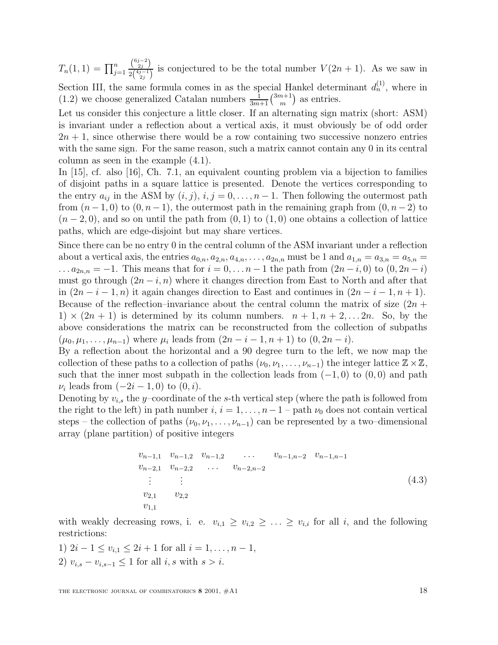$T_n(1,1) = \prod_{j=1}^n$  $\binom{6j-2}{2j}$  $\frac{\binom{v_{2j}}{2j}}{2\binom{4j-1}{2j}}$  is conjectured to be the total number  $V(2n+1)$ . As we saw in Section III, the same formula comes in as the special Hankel determinant  $d_n^{(1)}$ , where in  $(1.2)$  we choose generalized Catalan numbers  $\frac{1}{3m+1} {3m+1 \choose m}$  as entries.

Let us consider this conjecture a little closer. If an alternating sign matrix (short: ASM) is invariant under a reflection about a vertical axis, it must obviously be of odd order  $2n + 1$ , since otherwise there would be a row containing two successive nonzero entries with the same sign. For the same reason, such a matrix cannot contain any 0 in its central column as seen in the example (4.1).

In [15], cf. also [16], Ch. 7.1, an equivalent counting problem via a bijection to families of disjoint paths in a square lattice is presented. Denote the vertices corresponding to the entry  $a_{ij}$  in the ASM by  $(i, j)$ ,  $i, j = 0, \ldots, n - 1$ . Then following the outermost path from  $(n-1, 0)$  to  $(0, n-1)$ , the outermost path in the remaining graph from  $(0, n-2)$  to  $(n-2,0)$ , and so on until the path from  $(0,1)$  to  $(1,0)$  one obtains a collection of lattice paths, which are edge-disjoint but may share vertices.

Since there can be no entry 0 in the central column of the ASM invariant under a reflection about a vertical axis, the entries  $a_{0,n}$ ,  $a_{2,n}$ ,  $a_{4,n}$ , ...,  $a_{2n}$ , must be 1 and  $a_{1,n} = a_{3,n} = a_{5,n}$  $\ldots a_{2n,n} = -1$ . This means that for  $i = 0, \ldots n-1$  the path from  $(2n-i, 0)$  to  $(0, 2n-i)$ must go through  $(2n - i, n)$  where it changes direction from East to North and after that in  $(2n-i-1,n)$  it again changes direction to East and continues in  $(2n-i-1,n+1)$ . Because of the reflection–invariance about the central column the matrix of size  $(2n +$  $1) \times (2n+1)$  is determined by its column numbers.  $n+1, n+2, \ldots, 2n$ . So, by the above considerations the matrix can be reconstructed from the collection of subpaths  $(\mu_0, \mu_1, \ldots, \mu_{n-1})$  where  $\mu_i$  leads from  $(2n-i-1, n+1)$  to  $(0, 2n-i)$ .

By a reflection about the horizontal and a 90 degree turn to the left, we now map the collection of these paths to a collection of paths  $(\nu_0, \nu_1, \ldots, \nu_{n-1})$  the integer lattice  $\mathbb{Z} \times \mathbb{Z}$ , such that the inner most subpath in the collection leads from  $(-1, 0)$  to  $(0, 0)$  and path  $\nu_i$  leads from  $(-2i - 1, 0)$  to  $(0, i)$ .

Denoting by  $v_{i,s}$  the y–coordinate of the s-th vertical step (where the path is followed from the right to the left) in path number  $i, i = 1, \ldots, n-1$  – path  $\nu_0$  does not contain vertical steps – the collection of paths  $(\nu_0, \nu_1, \ldots, \nu_{n-1})$  can be represented by a two–dimensional array (plane partition) of positive integers

<sup>v</sup><sup>n</sup>−1,<sup>1</sup> <sup>v</sup><sup>n</sup>−1,<sup>2</sup> <sup>v</sup><sup>n</sup>−1,<sup>2</sup> ... v<sup>n</sup>−1,n−<sup>2</sup> <sup>v</sup><sup>n</sup>−1,n−<sup>1</sup> <sup>v</sup><sup>n</sup>−2,<sup>1</sup> <sup>v</sup><sup>n</sup>−2,<sup>2</sup> ... v<sup>n</sup>−2,n−<sup>2</sup> . . . . . . v2,<sup>1</sup> v2,<sup>2</sup> v1,<sup>1</sup> (4.3)

with weakly decreasing rows, i. e.  $v_{i,1} \ge v_{i,2} \ge \ldots \ge v_{i,i}$  for all i, and the following restrictions:

1)  $2i - 1 \le v_{i,1} \le 2i + 1$  for all  $i = 1, \ldots, n - 1$ , 2)  $v_{i,s} - v_{i,s-1} \leq 1$  for all  $i, s$  with  $s > i$ .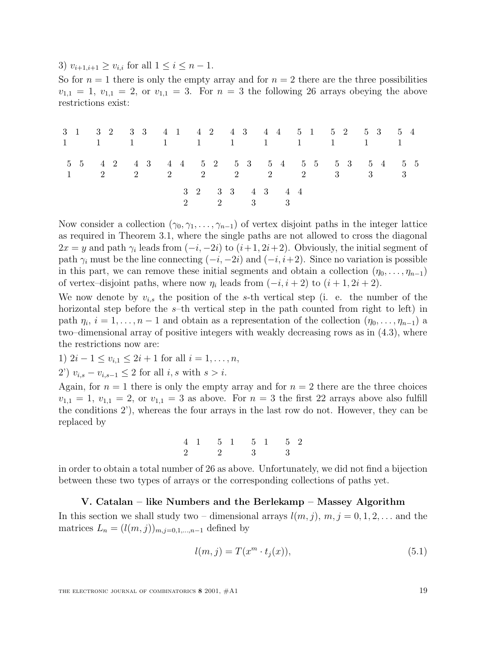3)  $v_{i+1,i+1} \ge v_{i,i}$  for all  $1 \le i \le n-1$ .

So for  $n = 1$  there is only the empty array and for  $n = 2$  there are the three possibilities  $v_{1,1} = 1$ ,  $v_{1,1} = 2$ , or  $v_{1,1} = 3$ . For  $n = 3$  the following 26 arrays obeying the above restrictions exist:

| 3 1 3 2 3 3 4 1 4 2 4 3 4 4 5 1 5 2 5 3 5 4<br>1 1 1 1 1 1 1 1 1 1 1 |                                                       |                            |  |  |  |
|----------------------------------------------------------------------|-------------------------------------------------------|----------------------------|--|--|--|
| 5 5 4 2 4 3 4 4 5 2 5 3 5 4 5 5 5 3 5 4 5 5                          | $2 \t 2 \t 2 \t 2 \t 2 \t 2 \t 2 \t 2 \t 3 \t 3 \t 3$ |                            |  |  |  |
|                                                                      |                                                       | 3 2 3 3 4 3 4 4<br>2 2 3 3 |  |  |  |

Now consider a collection  $(\gamma_0, \gamma_1, \ldots, \gamma_{n-1})$  of vertex disjoint paths in the integer lattice as required in Theorem 3.1, where the single paths are not allowed to cross the diagonal  $2x = y$  and path  $\gamma_i$  leads from  $(-i, -2i)$  to  $(i+1, 2i+2)$ . Obviously, the initial segment of path  $\gamma_i$  must be the line connecting  $(-i, -2i)$  and  $(-i, i+2)$ . Since no variation is possible in this part, we can remove these initial segments and obtain a collection  $(\eta_0, \ldots, \eta_{n-1})$ of vertex–disjoint paths, where now  $\eta_i$  leads from  $(-i, i + 2)$  to  $(i + 1, 2i + 2)$ .

We now denote by  $v_{i,s}$  the position of the s-th vertical step (i. e. the number of the horizontal step before the s–th vertical step in the path counted from right to left) in path  $\eta_i$ ,  $i = 1, \ldots, n-1$  and obtain as a representation of the collection  $(\eta_0, \ldots, \eta_{n-1})$  a two–dimensional array of positive integers with weakly decreasing rows as in (4.3), where the restrictions now are:

1)  $2i - 1 \le v_{i,1} \le 2i + 1$  for all  $i = 1, \ldots, n$ ,

2')  $v_{i,s} - v_{i,s-1} \leq 2$  for all  $i, s$  with  $s > i$ .

Again, for  $n = 1$  there is only the empty array and for  $n = 2$  there are the three choices  $v_{1,1} = 1$ ,  $v_{1,1} = 2$ , or  $v_{1,1} = 3$  as above. For  $n = 3$  the first 22 arrays above also fulfill the conditions 2'), whereas the four arrays in the last row do not. However, they can be replaced by

> 4 1 2 5 1 2 5 1 3 5 2 3

in order to obtain a total number of 26 as above. Unfortunately, we did not find a bijection between these two types of arrays or the corresponding collections of paths yet.

# **V. Catalan – like Numbers and the Berlekamp – Massey Algorithm**

In this section we shall study two – dimensional arrays  $l(m, j)$ ,  $m, j = 0, 1, 2, \ldots$  and the matrices  $L_n = (l(m, j))_{m, j=0,1,...,n-1}$  defined by

$$
l(m,j) = T(x^m \cdot t_j(x)),\tag{5.1}
$$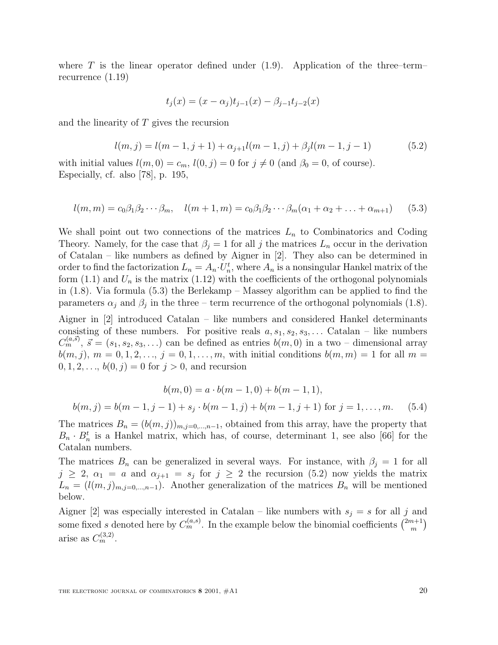where T is the linear operator defined under  $(1.9)$ . Application of the three–term– recurrence (1.19)

$$
t_j(x) = (x - \alpha_j)t_{j-1}(x) - \beta_{j-1}t_{j-2}(x)
$$

and the linearity of T gives the recursion

$$
l(m, j) = l(m - 1, j + 1) + \alpha_{j+1}l(m - 1, j) + \beta_jl(m - 1, j - 1)
$$
\n(5.2)

with initial values  $l(m, 0) = c_m$ ,  $l(0, j) = 0$  for  $j \neq 0$  (and  $\beta_0 = 0$ , of course). Especially, cf. also [78], p. 195,

$$
l(m, m) = c_0 \beta_1 \beta_2 \cdots \beta_m, \quad l(m+1, m) = c_0 \beta_1 \beta_2 \cdots \beta_m (\alpha_1 + \alpha_2 + \ldots + \alpha_{m+1}) \tag{5.3}
$$

We shall point out two connections of the matrices  $L_n$  to Combinatorics and Coding Theory. Namely, for the case that  $\beta_j = 1$  for all j the matrices  $L_n$  occur in the derivation of Catalan – like numbers as defined by Aigner in [2]. They also can be determined in order to find the factorization  $L_n = A_n \cdot U_n^t$ , where  $A_n$  is a nonsingular Hankel matrix of the form  $(1.1)$  and  $U_n$  is the matrix  $(1.12)$  with the coefficients of the orthogonal polynomials in (1.8). Via formula (5.3) the Berlekamp – Massey algorithm can be applied to find the parameters  $\alpha_j$  and  $\beta_j$  in the three – term recurrence of the orthogonal polynomials (1.8).

Aigner in [2] introduced Catalan – like numbers and considered Hankel determinants consisting of these numbers. For positive reals  $a, s_1, s_2, s_3, \ldots$  Catalan – like numbers  $C_m^{(a,s)}$ ,  $\vec{s} = (s_1, s_2, s_3,...)$  can be defined as entries  $b(m, 0)$  in a two – dimensional array  $b(m, j), m = 0, 1, 2, ..., j = 0, 1, ..., m$ , with initial conditions  $b(m, m) = 1$  for all  $m =$  $0, 1, 2, \ldots, b(0, j) = 0$  for  $j > 0$ , and recursion

$$
b(m, 0) = a \cdot b(m - 1, 0) + b(m - 1, 1),
$$
  

$$
b(m, j) = b(m - 1, j - 1) + s_j \cdot b(m - 1, j) + b(m - 1, j + 1)
$$
 for  $j = 1, ..., m$ . (5.4)

The matrices  $B_n = (b(m, j))_{m,j=0,\dots,n-1}$ , obtained from this array, have the property that  $B_n \cdot B_n^t$  is a Hankel matrix, which has, of course, determinant 1, see also [66] for the Catalan numbers.

The matrices  $B_n$  can be generalized in several ways. For instance, with  $\beta_j = 1$  for all  $j \geq 2$ ,  $\alpha_1 = a$  and  $\alpha_{j+1} = s_j$  for  $j \geq 2$  the recursion (5.2) now yields the matrix  $L_n = (l(m, j)_{m, j=0,\dots,n-1})$ . Another generalization of the matrices  $B_n$  will be mentioned below.

Aigner [2] was especially interested in Catalan – like numbers with  $s_j = s$  for all j and some fixed s denoted here by  $C_m^{(a,s)}$ . In the example below the binomial coefficients  $\binom{2m+1}{m}$ arise as  $C_m^{(3,2)}$ .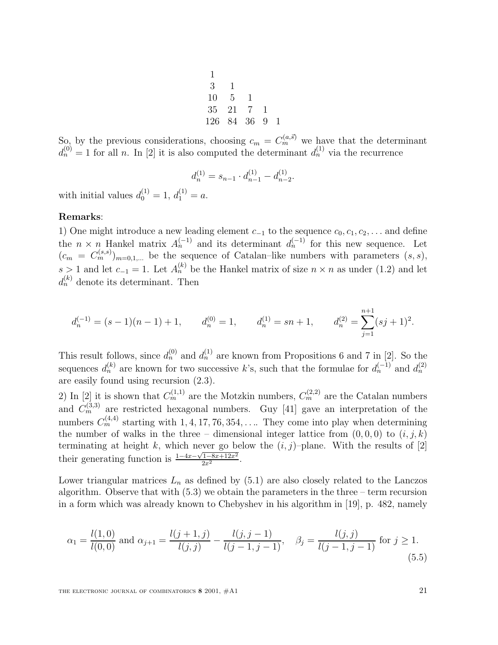$$
\begin{array}{cccc}\n1 & & & \\
3 & 1 & & \\
10 & 5 & 1 & & \\
35 & 21 & 7 & 1 & \\
126 & 84 & 36 & 9 & 1\n\end{array}
$$

So, by the previous considerations, choosing  $c_m = C_m^{(a,\vec{s})}$  we have that the determinant  $d_n^{(0)} = 1$  for all n. In [2] it is also computed the determinant  $d_n^{(1)}$  via the recurrence

$$
d_n^{(1)} = s_{n-1} \cdot d_{n-1}^{(1)} - d_{n-2}^{(1)}.
$$

with initial values  $d_0^{(1)} = 1, d_1^{(1)} = a$ .

#### **Remarks**:

1) One might introduce a new leading element  $c_{-1}$  to the sequence  $c_0, c_1, c_2, \ldots$  and define the  $n \times n$  Hankel matrix  $A_n^{(-1)}$  and its determinant  $d_n^{(-1)}$  for this new sequence. Let  $(c_m = C_m^{(s,s)})_{m=0,1,...}$  be the sequence of Catalan–like numbers with parameters  $(s, s)$ , s > 1 and let  $c_{-1} = 1$ . Let  $A_n^{(k)}$  be the Hankel matrix of size  $n \times n$  as under (1.2) and let  $d_n^{(k)}$  denote its determinant. Then

$$
d_n^{(-1)} = (s-1)(n-1) + 1, \t d_n^{(0)} = 1, \t d_n^{(1)} = sn + 1, \t d_n^{(2)} = \sum_{j=1}^{n+1} (sj+1)^2.
$$

This result follows, since  $d_n^{(0)}$  and  $d_n^{(1)}$  are known from Propositions 6 and 7 in [2]. So the sequences  $d_n^{(k)}$  are known for two successive k's, such that the formulae for  $d_n^{(-1)}$  and  $d_n^{(2)}$ are easily found using recursion (2.3).

2) In [2] it is shown that  $C_m^{(1,1)}$  are the Motzkin numbers,  $C_m^{(2,2)}$  are the Catalan numbers and  $C_m^{(3,3)}$  are restricted hexagonal numbers. Guy [41] gave an interpretation of the numbers  $C_m^{(4,4)}$  starting with 1, 4, 17, 76, 354,.... They come into play when determining the number of walks in the three – dimensional integer lattice from  $(0, 0, 0)$  to  $(i, j, k)$ terminating at height k, which never go below the  $(i, j)$ –plane. With the results of [2] their generating function is  $\frac{1-4x-\sqrt{1-8x+12x^2}}{2x^2}$ .

Lower triangular matrices  $L_n$  as defined by  $(5.1)$  are also closely related to the Lanczos algorithm. Observe that with  $(5.3)$  we obtain the parameters in the three – term recursion in a form which was already known to Chebyshev in his algorithm in [19], p. 482, namely

$$
\alpha_1 = \frac{l(1,0)}{l(0,0)} \text{ and } \alpha_{j+1} = \frac{l(j+1,j)}{l(j,j)} - \frac{l(j,j-1)}{l(j-1,j-1)}, \quad \beta_j = \frac{l(j,j)}{l(j-1,j-1)} \text{ for } j \ge 1.
$$
\n(5.5)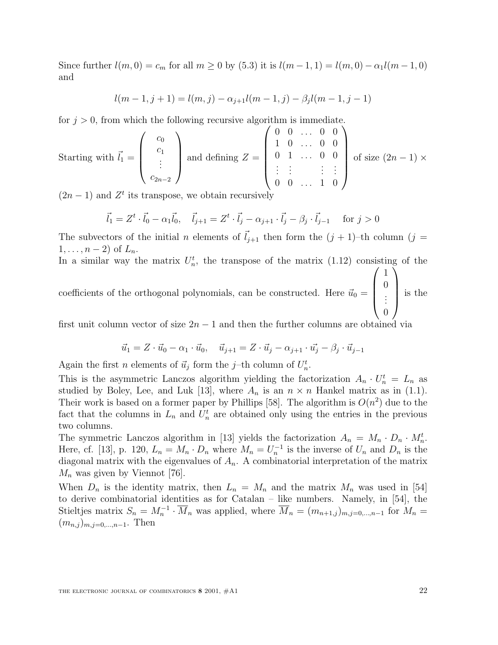Since further  $l(m, 0) = c_m$  for all  $m \ge 0$  by (5.3) it is  $l(m-1, 1) = l(m, 0) - \alpha_1 l(m-1, 0)$ and

$$
l(m-1,j+1) = l(m,j) - \alpha_{j+1}l(m-1,j) - \beta_jl(m-1,j-1)
$$

for  $j > 0$ , from which the following recursive algorithm is immediate.

Starting with 
$$
\vec{l}_1 = \begin{pmatrix} c_0 \\ c_1 \\ \vdots \\ c_{2n-2} \end{pmatrix}
$$
 and defining  $Z = \begin{pmatrix} 0 & 0 & \dots & 0 & 0 \\ 1 & 0 & \dots & 0 & 0 \\ 0 & 1 & \dots & 0 & 0 \\ \vdots & \vdots & \vdots & \vdots & \vdots \\ 0 & 0 & \dots & 1 & 0 \end{pmatrix}$  of size  $(2n-1) \times$ 

 $(2n-1)$  and  $Z<sup>t</sup>$  its transpose, we obtain recursively

$$
\vec{l}_1 = Z^t \cdot \vec{l}_0 - \alpha_1 \vec{l}_0, \quad \vec{l}_{j+1} = Z^t \cdot \vec{l}_j - \alpha_{j+1} \cdot \vec{l}_j - \beta_j \cdot \vec{l}_{j-1} \quad \text{ for } j > 0
$$

The subvectors of the initial n elements of  $l_{j+1}$  then form the  $(j + 1)$ –th column  $(j =$  $1,\ldots,n-2$ ) of  $L_n$ .

In a similar way the matrix  $U_n^t$ , the transpose of the matrix (1.12) consisting of the

coefficients of the orthogonal polynomials, can be constructed. Here  $\vec{u}_0 =$  $\sqrt{ }$  $\overline{\phantom{a}}$ 1 0 . . . 0  $\setminus$ is the

first unit column vector of size  $2n - 1$  and then the further columns are obtained via

$$
\vec{u}_1 = Z \cdot \vec{u}_0 - \alpha_1 \cdot \vec{u}_0, \quad \vec{u}_{j+1} = Z \cdot \vec{u}_j - \alpha_{j+1} \cdot \vec{u}_j - \beta_j \cdot \vec{u}_{j-1}
$$

Again the first *n* elements of  $\vec{u}_j$  form the *j*-th column of  $U_n^t$ .

This is the asymmetric Lanczos algorithm yielding the factorization  $A_n \cdot U_n^t = L_n$  as studied by Boley, Lee, and Luk [13], where  $A_n$  is an  $n \times n$  Hankel matrix as in (1.1). Their work is based on a former paper by Phillips [58]. The algorithm is  $O(n^2)$  due to the fact that the columns in  $L_n$  and  $U_n^t$  are obtained only using the entries in the previous two columns.

The symmetric Lanczos algorithm in [13] yields the factorization  $A_n = M_n \cdot D_n \cdot M_n^t$ . Here, cf. [13], p. 120,  $L_n = M_n \cdot D_n$  where  $M_n = U_n^{-1}$  is the inverse of  $U_n$  and  $D_n$  is the diagonal matrix with the eigenvalues of  $A_n$ . A combinatorial interpretation of the matrix  $M_n$  was given by Viennot [76].

When  $D_n$  is the identity matrix, then  $L_n = M_n$  and the matrix  $M_n$  was used in [54] to derive combinatorial identities as for Catalan – like numbers. Namely, in [54], the Stieltjes matrix  $S_n = M_n^{-1} \cdot \overline{M}_n$  was applied, where  $\overline{M}_n = (m_{n+1,j})_{m,j=0,\dots,n-1}$  for  $M_n =$  $(m_{n,j})_{m,j=0,\dots,n-1}$ . Then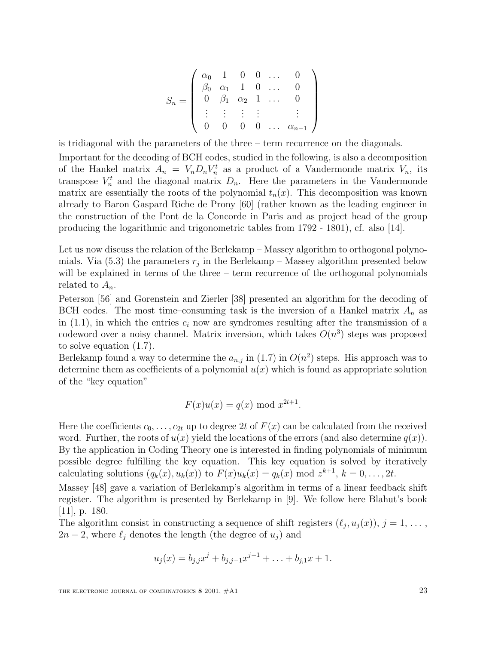$$
S_n = \left(\begin{array}{cccccc}\n\alpha_0 & 1 & 0 & 0 & \dots & 0 \\
\beta_0 & \alpha_1 & 1 & 0 & \dots & 0 \\
0 & \beta_1 & \alpha_2 & 1 & \dots & 0 \\
\vdots & \vdots & \vdots & \vdots & & \vdots \\
0 & 0 & 0 & 0 & \dots & \alpha_{n-1}\n\end{array}\right)
$$

is tridiagonal with the parameters of the three – term recurrence on the diagonals.

Important for the decoding of BCH codes, studied in the following, is also a decomposition of the Hankel matrix  $A_n = V_n D_n V_n^t$  as a product of a Vandermonde matrix  $V_n$ , its transpose  $V_n^t$  and the diagonal matrix  $D_n$ . Here the parameters in the Vandermonde matrix are essentially the roots of the polynomial  $t_n(x)$ . This decomposition was known already to Baron Gaspard Riche de Prony [60] (rather known as the leading engineer in the construction of the Pont de la Concorde in Paris and as project head of the group producing the logarithmic and trigonometric tables from 1792 - 1801), cf. also [14].

Let us now discuss the relation of the Berlekamp – Massey algorithm to orthogonal polynomials. Via (5.3) the parameters  $r_j$  in the Berlekamp – Massey algorithm presented below will be explained in terms of the three – term recurrence of the orthogonal polynomials related to  $A_n$ .

Peterson [56] and Gorenstein and Zierler [38] presented an algorithm for the decoding of BCH codes. The most time–consuming task is the inversion of a Hankel matrix  $A_n$  as in (1.1), in which the entries  $c_i$  now are syndromes resulting after the transmission of a codeword over a noisy channel. Matrix inversion, which takes  $O(n^3)$  steps was proposed to solve equation (1.7).

Berlekamp found a way to determine the  $a_{n,j}$  in (1.7) in  $O(n^2)$  steps. His approach was to determine them as coefficients of a polynomial  $u(x)$  which is found as appropriate solution of the "key equation"

$$
F(x)u(x) = q(x) \bmod x^{2t+1}.
$$

Here the coefficients  $c_0, \ldots, c_{2t}$  up to degree 2t of  $F(x)$  can be calculated from the received word. Further, the roots of  $u(x)$  yield the locations of the errors (and also determine  $q(x)$ ). By the application in Coding Theory one is interested in finding polynomials of minimum possible degree fulfilling the key equation. This key equation is solved by iteratively calculating solutions  $(q_k(x), u_k(x))$  to  $F(x)u_k(x) = q_k(x) \text{ mod } z^{k+1}, k = 0, \ldots, 2t$ .

Massey [48] gave a variation of Berlekamp's algorithm in terms of a linear feedback shift register. The algorithm is presented by Berlekamp in [9]. We follow here Blahut's book [11], p. 180.

The algorithm consist in constructing a sequence of shift registers  $(\ell_j, u_j (x)), j = 1, \ldots$  $2n-2$ , where  $\ell_j$  denotes the length (the degree of  $u_j$ ) and

$$
u_j(x) = b_{j,j}x^j + b_{j,j-1}x^{j-1} + \ldots + b_{j,1}x + 1.
$$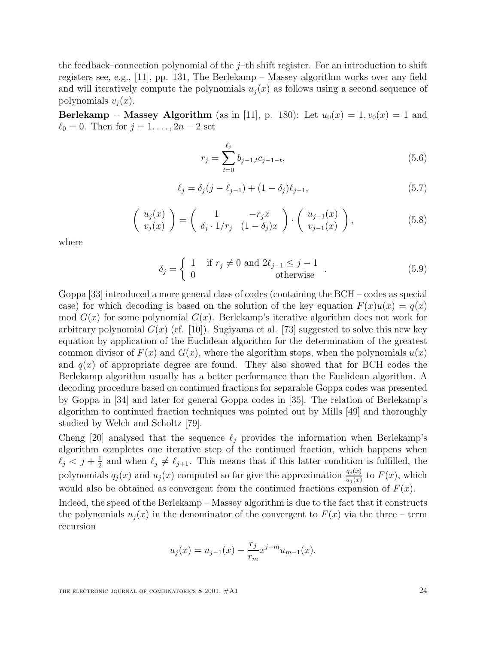the feedback–connection polynomial of the  $j$ –th shift register. For an introduction to shift registers see, e.g., [11], pp. 131, The Berlekamp – Massey algorithm works over any field and will iteratively compute the polynomials  $u_i(x)$  as follows using a second sequence of polynomials  $v_i(x)$ .

**Berlekamp – Massey Algorithm** (as in [11], p. 180): Let  $u_0(x) = 1, v_0(x) = 1$  and  $\ell_0 = 0$ . Then for  $j = 1, ..., 2n - 2$  set

$$
r_j = \sum_{t=0}^{\ell_j} b_{j-1,t} c_{j-1-t},\tag{5.6}
$$

$$
\ell_j = \delta_j(j - \ell_{j-1}) + (1 - \delta_j)\ell_{j-1},\tag{5.7}
$$

$$
\left(\begin{array}{c} u_j(x) \\ v_j(x) \end{array}\right) = \left(\begin{array}{cc} 1 & -r_j x \\ \delta_j \cdot 1/r_j & (1-\delta_j)x \end{array}\right) \cdot \left(\begin{array}{c} u_{j-1}(x) \\ v_{j-1}(x) \end{array}\right),\tag{5.8}
$$

where

$$
\delta_j = \begin{cases} 1 & \text{if } r_j \neq 0 \text{ and } 2\ell_{j-1} \leq j-1 \\ 0 & \text{otherwise} \end{cases} . \tag{5.9}
$$

Goppa [33] introduced a more general class of codes (containing the BCH – codes as special case) for which decoding is based on the solution of the key equation  $F(x)u(x) = q(x)$ mod  $G(x)$  for some polynomial  $G(x)$ . Berlekamp's iterative algorithm does not work for arbitrary polynomial  $G(x)$  (cf. [10]). Sugiyama et al. [73] suggested to solve this new key equation by application of the Euclidean algorithm for the determination of the greatest common divisor of  $F(x)$  and  $G(x)$ , where the algorithm stops, when the polynomials  $u(x)$ and  $q(x)$  of appropriate degree are found. They also showed that for BCH codes the Berlekamp algorithm usually has a better performance than the Euclidean algorithm. A decoding procedure based on continued fractions for separable Goppa codes was presented by Goppa in [34] and later for general Goppa codes in [35]. The relation of Berlekamp's algorithm to continued fraction techniques was pointed out by Mills [49] and thoroughly studied by Welch and Scholtz [79].

Cheng [20] analysed that the sequence  $\ell_j$  provides the information when Berlekamp's algorithm completes one iterative step of the continued fraction, which happens when  $\ell_j < j + \frac{1}{2}$  and when  $\ell_j \neq \ell_{j+1}$ . This means that if this latter condition is fulfilled, the polynomials  $q_j(x)$  and  $u_j(x)$  computed so far give the approximation  $\frac{q_j(x)}{u_j(x)}$  to  $F(x)$ , which would also be obtained as convergent from the continued fractions expansion of  $F(x)$ .

Indeed, the speed of the Berlekamp – Massey algorithm is due to the fact that it constructs the polynomials  $u_i(x)$  in the denominator of the convergent to  $F(x)$  via the three – term recursion

$$
u_j(x) = u_{j-1}(x) - \frac{r_j}{r_m} x^{j-m} u_{m-1}(x).
$$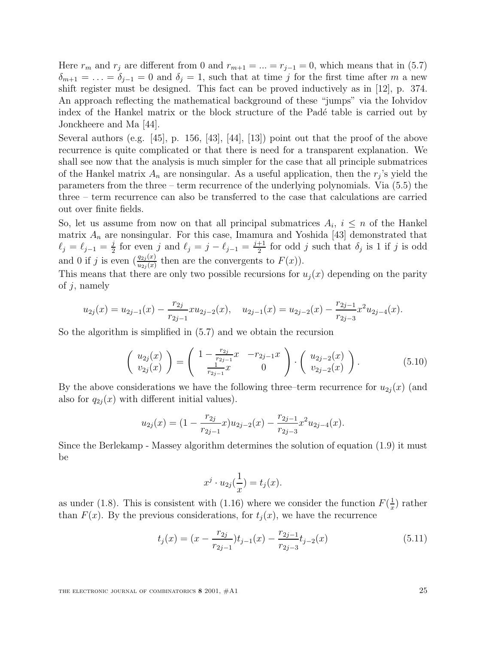Here  $r_m$  and  $r_j$  are different from 0 and  $r_{m+1} = ... = r_{j-1} = 0$ , which means that in (5.7)  $\delta_{m+1} = \ldots = \delta_{j-1} = 0$  and  $\delta_j = 1$ , such that at time j for the first time after m a new shift register must be designed. This fact can be proved inductively as in [12], p. 374. An approach reflecting the mathematical background of these "jumps" via the Iohvidov index of the Hankel matrix or the block structure of the Padé table is carried out by Jonckheere and Ma [44].

Several authors (e.g.  $[45]$ , p. 156,  $[43]$ ,  $[44]$ ,  $[13]$ ) point out that the proof of the above recurrence is quite complicated or that there is need for a transparent explanation. We shall see now that the analysis is much simpler for the case that all principle submatrices of the Hankel matrix  $A_n$  are nonsingular. As a useful application, then the  $r_j$ 's yield the parameters from the three – term recurrence of the underlying polynomials. Via (5.5) the three – term recurrence can also be transferred to the case that calculations are carried out over finite fields.

So, let us assume from now on that all principal submatrices  $A_i$ ,  $i \leq n$  of the Hankel matrix  $A_n$  are nonsingular. For this case, Imamura and Yoshida [43] demonstrated that  $\ell_j = \ell_{j-1} = \frac{j}{2}$  for even j and  $\ell_j = j - \ell_{j-1} = \frac{j+1}{2}$  for odd j such that  $\delta_j$  is 1 if j is odd and 0 if j is even  $\left(\frac{q_{2j}(x)}{u_{2j}(x)}\right)$  then are the convergents to  $F(x)$ ).

This means that there are only two possible recursions for  $u_j(x)$  depending on the parity of  $j$ , namely

$$
u_{2j}(x) = u_{2j-1}(x) - \frac{r_{2j}}{r_{2j-1}} x u_{2j-2}(x), \quad u_{2j-1}(x) = u_{2j-2}(x) - \frac{r_{2j-1}}{r_{2j-3}} x^2 u_{2j-4}(x).
$$

So the algorithm is simplified in (5.7) and we obtain the recursion

$$
\begin{pmatrix} u_{2j}(x) \\ v_{2j}(x) \end{pmatrix} = \begin{pmatrix} 1 - \frac{r_{2j}}{r_{2j-1}}x & -r_{2j-1}x \\ \frac{1}{r_{2j-1}}x & 0 \end{pmatrix} \cdot \begin{pmatrix} u_{2j-2}(x) \\ v_{2j-2}(x) \end{pmatrix}.
$$
 (5.10)

By the above considerations we have the following three–term recurrence for  $u_{2j}(x)$  (and also for  $q_{2i}(x)$  with different initial values).

$$
u_{2j}(x) = (1 - \frac{r_{2j}}{r_{2j-1}}x)u_{2j-2}(x) - \frac{r_{2j-1}}{r_{2j-3}}x^2u_{2j-4}(x).
$$

Since the Berlekamp - Massey algorithm determines the solution of equation (1.9) it must be

$$
x^j \cdot u_{2j}(\frac{1}{x}) = t_j(x).
$$

as under (1.8). This is consistent with (1.16) where we consider the function  $F(\frac{1}{x})$  rather than  $F(x)$ . By the previous considerations, for  $t_i(x)$ , we have the recurrence

$$
t_j(x) = (x - \frac{r_{2j}}{r_{2j-1}})t_{j-1}(x) - \frac{r_{2j-1}}{r_{2j-3}}t_{j-2}(x)
$$
\n(5.11)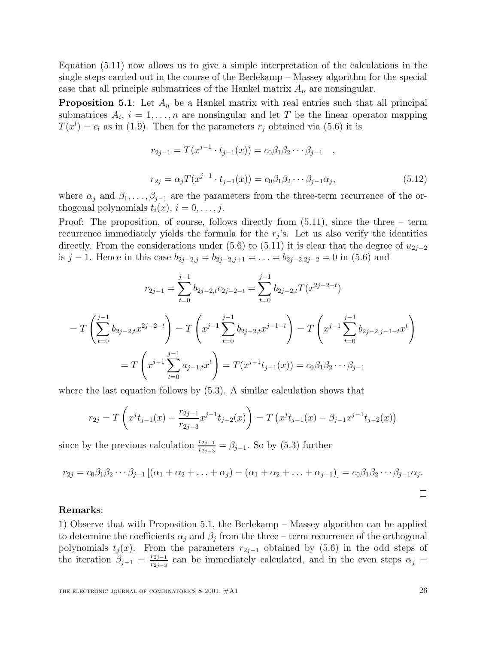Equation (5.11) now allows us to give a simple interpretation of the calculations in the single steps carried out in the course of the Berlekamp – Massey algorithm for the special case that all principle submatrices of the Hankel matrix  $A_n$  are nonsingular.

**Proposition 5.1**: Let  $A_n$  be a Hankel matrix with real entries such that all principal submatrices  $A_i$ ,  $i = 1, \ldots, n$  are nonsingular and let T be the linear operator mapping  $T(x^{l}) = c_{l}$  as in (1.9). Then for the parameters  $r_{j}$  obtained via (5.6) it is

$$
r_{2j-1} = T(x^{j-1} \cdot t_{j-1}(x)) = c_0 \beta_1 \beta_2 \cdots \beta_{j-1} ,
$$
  
\n
$$
r_{2j} = \alpha_j T(x^{j-1} \cdot t_{j-1}(x)) = c_0 \beta_1 \beta_2 \cdots \beta_{j-1} \alpha_j,
$$
\n(5.12)

where  $\alpha_j$  and  $\beta_1,\ldots,\beta_{j-1}$  are the parameters from the three-term recurrence of the orthogonal polynomials  $t_i(x)$ ,  $i = 0, \ldots, j$ .

Proof: The proposition, of course, follows directly from (5.11), since the three – term recurrence immediately yields the formula for the  $r_j$ 's. Let us also verify the identities directly. From the considerations under (5.6) to (5.11) it is clear that the degree of  $u_{2i-2}$ is j − 1. Hence in this case  $b_{2j-2,j} = b_{2j-2,j+1} = \ldots = b_{2j-2,2j-2} = 0$  in (5.6) and

$$
r_{2j-1} = \sum_{t=0}^{j-1} b_{2j-2,t} c_{2j-2-t} = \sum_{t=0}^{j-1} b_{2j-2,t} T(x^{2j-2-t})
$$
  
=  $T\left(\sum_{t=0}^{j-1} b_{2j-2,t} x^{2j-2-t}\right) = T\left(x^{j-1} \sum_{t=0}^{j-1} b_{2j-2,t} x^{j-1-t}\right) = T\left(x^{j-1} \sum_{t=0}^{j-1} b_{2j-2,t-1-t} x^t\right)$   
=  $T\left(x^{j-1} \sum_{t=0}^{j-1} a_{j-1,t} x^t\right) = T(x^{j-1} t_{j-1}(x)) = c_0 \beta_1 \beta_2 \cdots \beta_{j-1}$ 

where the last equation follows by (5.3). A similar calculation shows that

$$
r_{2j} = T\left(x^{j}t_{j-1}(x) - \frac{r_{2j-1}}{r_{2j-3}}x^{j-1}t_{j-2}(x)\right) = T\left(x^{j}t_{j-1}(x) - \beta_{j-1}x^{j-1}t_{j-2}(x)\right)
$$

since by the previous calculation  $\frac{r_{2j-1}}{r_{2j-3}} = \beta_{j-1}$ . So by (5.3) further

$$
r_{2j} = c_0 \beta_1 \beta_2 \cdots \beta_{j-1} \left[ (\alpha_1 + \alpha_2 + \ldots + \alpha_j) - (\alpha_1 + \alpha_2 + \ldots + \alpha_{j-1}) \right] = c_0 \beta_1 \beta_2 \cdots \beta_{j-1} \alpha_j.
$$

# **Remarks**:

 $=$ 

1) Observe that with Proposition 5.1, the Berlekamp – Massey algorithm can be applied to determine the coefficients  $\alpha_j$  and  $\beta_j$  from the three – term recurrence of the orthogonal polynomials  $t_j(x)$ . From the parameters  $r_{2j-1}$  obtained by (5.6) in the odd steps of the iteration  $\beta_{j-1} = \frac{r_{2j-1}}{r_{2j-3}}$  can be immediately calculated, and in the even steps  $\alpha_j =$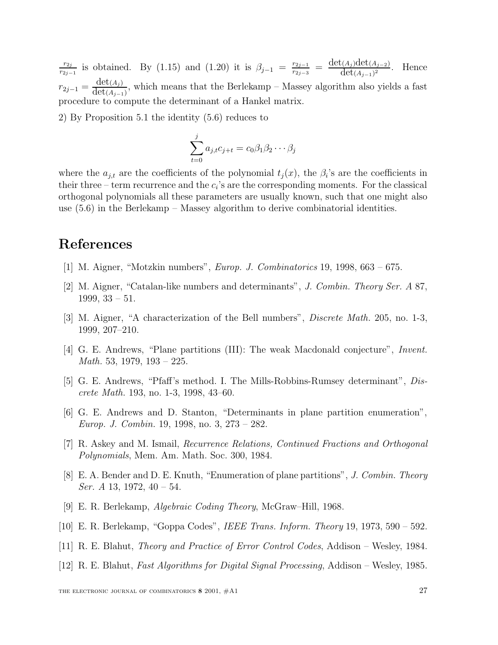$\frac{r_{2j}}{r_{2j-1}}$  is obtained. By (1.15) and (1.20) it is  $\beta_{j-1} = \frac{r_{2j-1}}{r_{2j-3}} = \frac{\det(A_j)\det(A_{j-2})}{\det(A_{j-1})^2}$ . Hence  $r_{2j-1} = \frac{\det(A_j)}{\det(A_{j-1})}$ , which means that the Berlekamp – Massey algorithm also yields a fast procedure to compute the determinant of a Hankel matrix.

2) By Proposition 5.1 the identity (5.6) reduces to

$$
\sum_{t=0}^{j} a_{j,t} c_{j+t} = c_0 \beta_1 \beta_2 \cdots \beta_j
$$

where the  $a_{j,t}$  are the coefficients of the polynomial  $t_j(x)$ , the  $\beta_i$ 's are the coefficients in their three – term recurrence and the  $c_i$ 's are the corresponding moments. For the classical orthogonal polynomials all these parameters are usually known, such that one might also use (5.6) in the Berlekamp – Massey algorithm to derive combinatorial identities.

# **References**

- [1] M. Aigner, "Motzkin numbers", Europ. J. Combinatorics 19, 1998, 663 675.
- [2] M. Aigner, "Catalan-like numbers and determinants", J. Combin. Theory Ser. A 87, 1999, 33 – 51.
- [3] M. Aigner, "A characterization of the Bell numbers", Discrete Math. 205, no. 1-3, 1999, 207–210.
- [4] G. E. Andrews, "Plane partitions (III): The weak Macdonald conjecture", Invent. *Math.* 53, 1979, 193 – 225.
- [5] G. E. Andrews, "Pfaff's method. I. The Mills-Robbins-Rumsey determinant", Discrete Math. 193, no. 1-3, 1998, 43–60.
- [6] G. E. Andrews and D. Stanton, "Determinants in plane partition enumeration", Europ. J. Combin. 19, 1998, no. 3, 273 – 282.
- [7] R. Askey and M. Ismail, Recurrence Relations, Continued Fractions and Orthogonal Polynomials, Mem. Am. Math. Soc. 300, 1984.
- [8] E. A. Bender and D. E. Knuth, "Enumeration of plane partitions", J. Combin. Theory Ser. A 13, 1972,  $40 - 54$ .
- [9] E. R. Berlekamp, Algebraic Coding Theory, McGraw–Hill, 1968.
- [10] E. R. Berlekamp, "Goppa Codes", IEEE Trans. Inform. Theory 19, 1973, 590 592.
- [11] R. E. Blahut, Theory and Practice of Error Control Codes, Addison Wesley, 1984.
- [12] R. E. Blahut, Fast Algorithms for Digital Signal Processing, Addison Wesley, 1985.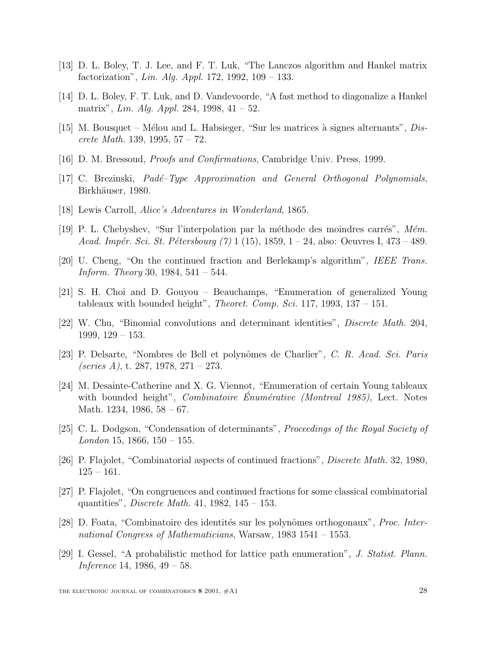- [13] D. L. Boley, T. J. Lee, and F. T. Luk, "The Lanczos algorithm and Hankel matrix factorization", *Lin. Alg. Appl.* 172, 1992, 109 – 133.
- [14] D. L. Boley, F. T. Luk, and D. Vandevoorde, "A fast method to diagonalize a Hankel matrix", Lin. Alg. Appl. 284, 1998,  $41 - 52$ .
- [15] M. Bousquet Mélou and L. Habsieger, "Sur les matrices à signes alternants", Discrete Math. 139, 1995,  $57 - 72$ .
- [16] D. M. Bressoud, Proofs and Confirmations, Cambridge Univ. Press, 1999.
- [17] C. Brezinski, *Padé–Type Approximation and General Orthogonal Polynomials*, Birkhäuser, 1980.
- [18] Lewis Carroll, Alice's Adventures in Wonderland, 1865.
- [19] P. L. Chebyshev, "Sur l'interpolation par la méthode des moindres carrés", Mém. Acad. Impér. Sci. St. Pétersbourg  $(7)$  1 (15), 1859, 1 – 24, also: Oeuvres I, 473 – 489.
- [20] U. Cheng, "On the continued fraction and Berlekamp's algorithm", IEEE Trans. Inform. Theory 30, 1984,  $541 - 544$ .
- [21] S. H. Choi and D. Gouyou Beauchamps, "Enumeration of generalized Young tableaux with bounded height", *Theoret. Comp. Sci.* 117, 1993, 137 – 151.
- [22] W. Chu, "Binomial convolutions and determinant identities", Discrete Math. 204, 1999, 129 – 153.
- [23] P. Delsarte, "Nombres de Bell et polynômes de Charlier", C. R. Acad. Sci. Paris (series A), t. 287, 1978, 271 – 273.
- [24] M. Desainte-Catherine and X. G. Viennot, "Enumeration of certain Young tableaux with bounded height", *Combinatoire Enumérative (Montreal 1985)*, Lect. Notes Math. 1234, 1986, 58 – 67.
- [25] C. L. Dodgson, "Condensation of determinants", Proceedings of the Royal Society of  $London\ 15, \ 1866, \ 150-155.$
- [26] P. Flajolet, "Combinatorial aspects of continued fractions", Discrete Math. 32, 1980,  $125 - 161.$
- [27] P. Flajolet, "On congruences and continued fractions for some classical combinatorial quantities", Discrete Math. 41, 1982, 145 – 153.
- [28] D. Foata, "Combinatoire des identités sur les polynômes orthogonaux", *Proc. Inter*national Congress of Mathematicians, Warsaw, 1983 1541 – 1553.
- [29] I. Gessel, "A probabilistic method for lattice path enumeration", J. Statist. Plann. Inference 14, 1986, 49 – 58.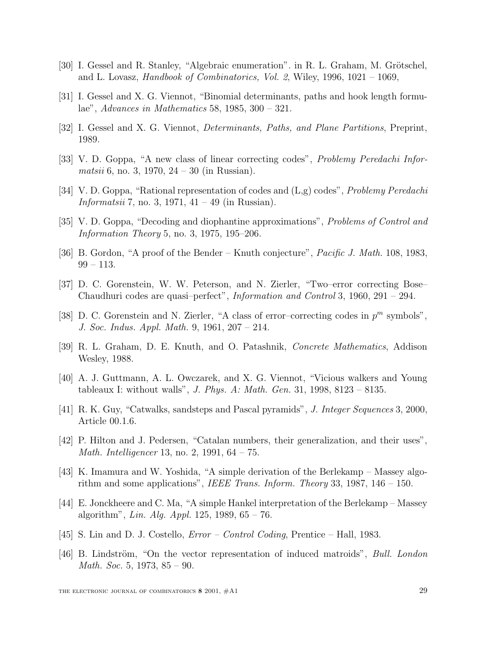- [30] I. Gessel and R. Stanley, "Algebraic enumeration". in R. L. Graham, M. Grötschel, and L. Lovasz, Handbook of Combinatorics, Vol. 2, Wiley, 1996, 1021 – 1069,
- [31] I. Gessel and X. G. Viennot, "Binomial determinants, paths and hook length formulae", Advances in Mathematics 58, 1985, 300 – 321.
- [32] I. Gessel and X. G. Viennot, Determinants, Paths, and Plane Partitions, Preprint, 1989.
- [33] V. D. Goppa, "A new class of linear correcting codes", Problemy Peredachi Infor*matsii* 6, no. 3, 1970,  $24 - 30$  (in Russian).
- [34] V. D. Goppa, "Rational representation of codes and  $(L,g)$  codes", *Problemy Peredachi Informatsii* 7, no. 3, 1971,  $41 - 49$  (in Russian).
- [35] V. D. Goppa, "Decoding and diophantine approximations", Problems of Control and Information Theory 5, no. 3, 1975, 195–206.
- [36] B. Gordon, "A proof of the Bender Knuth conjecture", *Pacific J. Math.* 108, 1983, 99 – 113.
- [37] D. C. Gorenstein, W. W. Peterson, and N. Zierler, "Two–error correcting Bose– Chaudhuri codes are quasi–perfect", Information and Control 3, 1960, 291 – 294.
- [38] D. C. Gorenstein and N. Zierler, "A class of error-correcting codes in  $p^m$  symbols", J. Soc. Indus. Appl. Math. 9, 1961, 207 – 214.
- [39] R. L. Graham, D. E. Knuth, and O. Patashnik, Concrete Mathematics, Addison Wesley, 1988.
- [40] A. J. Guttmann, A. L. Owczarek, and X. G. Viennot, "Vicious walkers and Young tableaux I: without walls", J. Phys. A: Math. Gen. 31, 1998, 8123 – 8135.
- [41] R. K. Guy, "Catwalks, sandsteps and Pascal pyramids", J. Integer Sequences 3, 2000, Article 00.1.6.
- [42] P. Hilton and J. Pedersen, "Catalan numbers, their generalization, and their uses", Math. Intelligencer 13, no. 2, 1991, 64 – 75.
- [43] K. Imamura and W. Yoshida, "A simple derivation of the Berlekamp Massey algorithm and some applications", IEEE Trans. Inform. Theory 33, 1987, 146 – 150.
- [44] E. Jonckheere and C. Ma, "A simple Hankel interpretation of the Berlekamp Massey algorithm", *Lin. Alg. Appl.* 125, 1989,  $65 - 76$ .
- [45] S. Lin and D. J. Costello, Error Control Coding, Prentice Hall, 1983.
- [46] B. Lindström, "On the vector representation of induced matroids", Bull. London Math. Soc. 5, 1973, 85 – 90.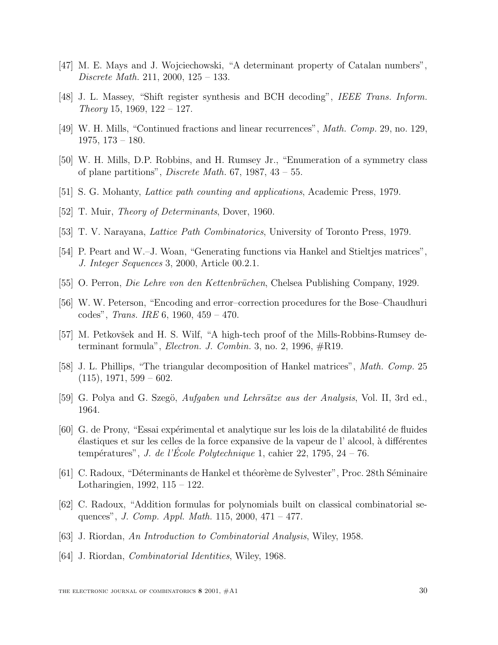- [47] M. E. Mays and J. Wojciechowski, "A determinant property of Catalan numbers", Discrete Math. 211, 2000, 125 – 133.
- [48] J. L. Massey, "Shift register synthesis and BCH decoding", IEEE Trans. Inform. Theory 15, 1969,  $122 - 127$ .
- [49] W. H. Mills, "Continued fractions and linear recurrences", Math. Comp. 29, no. 129, 1975, 173 – 180.
- [50] W. H. Mills, D.P. Robbins, and H. Rumsey Jr., "Enumeration of a symmetry class of plane partitions", *Discrete Math.* 67, 1987,  $43 - 55$ .
- [51] S. G. Mohanty, Lattice path counting and applications, Academic Press, 1979.
- [52] T. Muir, *Theory of Determinants*, Dover, 1960.
- [53] T. V. Narayana, Lattice Path Combinatorics, University of Toronto Press, 1979.
- [54] P. Peart and W.–J. Woan, "Generating functions via Hankel and Stieltjes matrices", J. Integer Sequences 3, 2000, Article 00.2.1.
- [55] O. Perron, *Die Lehre von den Kettenbrüchen*, Chelsea Publishing Company, 1929.
- [56] W. W. Peterson, "Encoding and error–correction procedures for the Bose–Chaudhuri codes", *Trans. IRE* 6, 1960,  $459 - 470$ .
- [57] M. Petkovšek and H. S. Wilf, "A high-tech proof of the Mills-Robbins-Rumsey determinant formula", *Electron. J. Combin.* 3, no. 2, 1996,  $\#\text{R19}$ .
- [58] J. L. Phillips, "The triangular decomposition of Hankel matrices", *Math. Comp.* 25  $(115), 1971, 599 - 602.$
- [59] G. Polya and G. Szegö, Aufgaben und Lehrsätze aus der Analysis, Vol. II, 3rd ed., 1964.
- [60] G. de Prony, "Essai expérimental et analytique sur les lois de la dilatabilité de fluides  $\acute{e}$ lastiques et sur les celles de la force expansive de la vapeur de l' alcool, à différentes températures", *J. de l'École Polytechnique* 1, cahier 22, 1795, 24 – 76.
- [61] C. Radoux, "Déterminants de Hankel et théorème de Sylvester", Proc. 28th Séminaire Lotharingien, 1992, 115 – 122.
- [62] C. Radoux, "Addition formulas for polynomials built on classical combinatorial sequences", J. Comp. Appl. Math. 115, 2000, 471 – 477.
- [63] J. Riordan, An Introduction to Combinatorial Analysis, Wiley, 1958.
- [64] J. Riordan, Combinatorial Identities, Wiley, 1968.